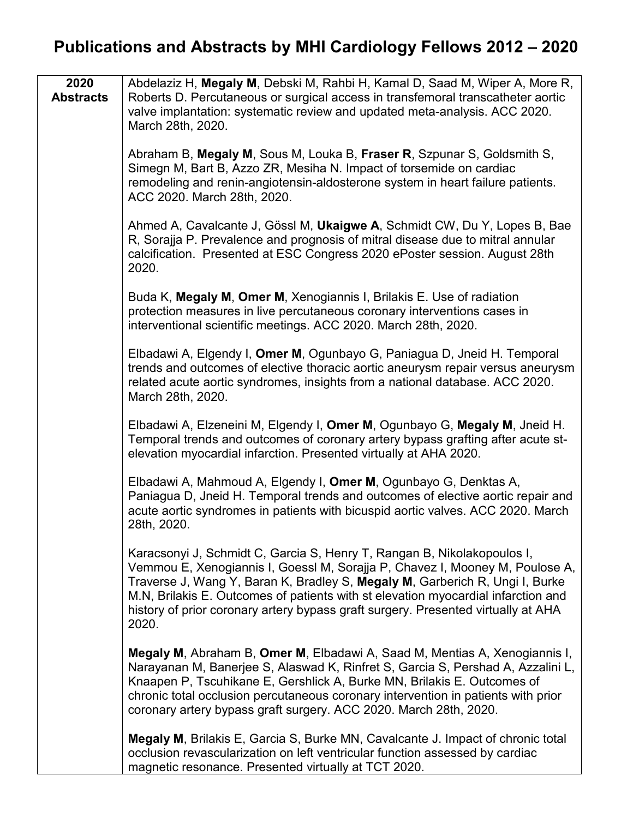| 2020<br><b>Abstracts</b> | Abdelaziz H, Megaly M, Debski M, Rahbi H, Kamal D, Saad M, Wiper A, More R,<br>Roberts D. Percutaneous or surgical access in transfemoral transcatheter aortic<br>valve implantation: systematic review and updated meta-analysis. ACC 2020.<br>March 28th, 2020.                                                                                                                                                          |
|--------------------------|----------------------------------------------------------------------------------------------------------------------------------------------------------------------------------------------------------------------------------------------------------------------------------------------------------------------------------------------------------------------------------------------------------------------------|
|                          | Abraham B, Megaly M, Sous M, Louka B, Fraser R, Szpunar S, Goldsmith S,<br>Simegn M, Bart B, Azzo ZR, Mesiha N. Impact of torsemide on cardiac<br>remodeling and renin-angiotensin-aldosterone system in heart failure patients.<br>ACC 2020. March 28th, 2020.                                                                                                                                                            |
|                          | Ahmed A, Cavalcante J, Gössl M, Ukaigwe A, Schmidt CW, Du Y, Lopes B, Bae<br>R, Sorajja P. Prevalence and prognosis of mitral disease due to mitral annular<br>calcification. Presented at ESC Congress 2020 ePoster session. August 28th<br>2020.                                                                                                                                                                         |
|                          | Buda K, Megaly M, Omer M, Xenogiannis I, Brilakis E. Use of radiation<br>protection measures in live percutaneous coronary interventions cases in<br>interventional scientific meetings. ACC 2020. March 28th, 2020.                                                                                                                                                                                                       |
|                          | Elbadawi A, Elgendy I, Omer M, Ogunbayo G, Paniagua D, Jneid H. Temporal<br>trends and outcomes of elective thoracic aortic aneurysm repair versus aneurysm<br>related acute aortic syndromes, insights from a national database. ACC 2020.<br>March 28th, 2020.                                                                                                                                                           |
|                          | Elbadawi A, Elzeneini M, Elgendy I, Omer M, Ogunbayo G, Megaly M, Jneid H.<br>Temporal trends and outcomes of coronary artery bypass grafting after acute st-<br>elevation myocardial infarction. Presented virtually at AHA 2020.                                                                                                                                                                                         |
|                          | Elbadawi A, Mahmoud A, Elgendy I, Omer M, Ogunbayo G, Denktas A,<br>Paniagua D, Jneid H. Temporal trends and outcomes of elective aortic repair and<br>acute aortic syndromes in patients with bicuspid aortic valves. ACC 2020. March<br>28th, 2020.                                                                                                                                                                      |
|                          | Karacsonyi J, Schmidt C, Garcia S, Henry T, Rangan B, Nikolakopoulos I,<br>Vemmou E, Xenogiannis I, Goessl M, Sorajja P, Chavez I, Mooney M, Poulose A,<br>Traverse J, Wang Y, Baran K, Bradley S, Megaly M, Garberich R, Ungi I, Burke<br>M.N, Brilakis E. Outcomes of patients with st elevation myocardial infarction and<br>history of prior coronary artery bypass graft surgery. Presented virtually at AHA<br>2020. |
|                          | Megaly M, Abraham B, Omer M, Elbadawi A, Saad M, Mentias A, Xenogiannis I,<br>Narayanan M, Banerjee S, Alaswad K, Rinfret S, Garcia S, Pershad A, Azzalini L,<br>Knaapen P, Tscuhikane E, Gershlick A, Burke MN, Brilakis E. Outcomes of<br>chronic total occlusion percutaneous coronary intervention in patients with prior<br>coronary artery bypass graft surgery. ACC 2020. March 28th, 2020.                         |
|                          | <b>Megaly M, Brilakis E, Garcia S, Burke MN, Cavalcante J. Impact of chronic total</b><br>occlusion revascularization on left ventricular function assessed by cardiac<br>magnetic resonance. Presented virtually at TCT 2020.                                                                                                                                                                                             |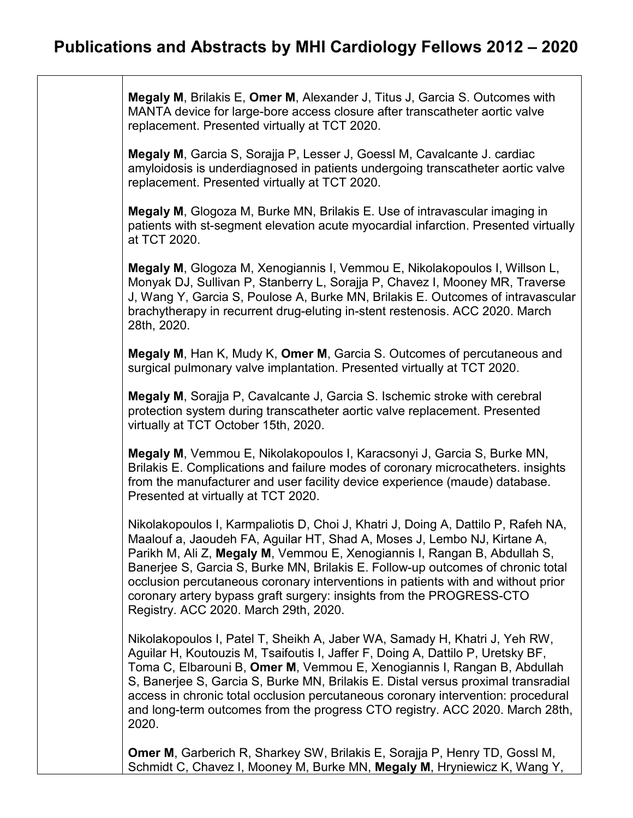**Megaly M**, Brilakis E, **Omer M**, Alexander J, Titus J, Garcia S. Outcomes with MANTA device for large-bore access closure after transcatheter aortic valve replacement. Presented virtually at TCT 2020.

**Megaly M**, Garcia S, Sorajja P, Lesser J, Goessl M, Cavalcante J. cardiac amyloidosis is underdiagnosed in patients undergoing transcatheter aortic valve replacement. Presented virtually at TCT 2020.

**Megaly M**, Glogoza M, Burke MN, Brilakis E. Use of intravascular imaging in patients with st-segment elevation acute myocardial infarction. Presented virtually at TCT 2020.

**Megaly M**, Glogoza M, Xenogiannis I, Vemmou E, Nikolakopoulos I, Willson L, Monyak DJ, Sullivan P, Stanberry L, Sorajja P, Chavez I, Mooney MR, Traverse J, Wang Y, Garcia S, Poulose A, Burke MN, Brilakis E. Outcomes of intravascular brachytherapy in recurrent drug-eluting in-stent restenosis. ACC 2020. March 28th, 2020.

**Megaly M**, Han K, Mudy K, **Omer M**, Garcia S. Outcomes of percutaneous and surgical pulmonary valve implantation. Presented virtually at TCT 2020.

**Megaly M**, Sorajja P, Cavalcante J, Garcia S. Ischemic stroke with cerebral protection system during transcatheter aortic valve replacement. Presented virtually at TCT October 15th, 2020.

**Megaly M**, Vemmou E, Nikolakopoulos I, Karacsonyi J, Garcia S, Burke MN, Brilakis E. Complications and failure modes of coronary microcatheters. insights from the manufacturer and user facility device experience (maude) database. Presented at virtually at TCT 2020.

Nikolakopoulos I, Karmpaliotis D, Choi J, Khatri J, Doing A, Dattilo P, Rafeh NA, Maalouf a, Jaoudeh FA, Aguilar HT, Shad A, Moses J, Lembo NJ, Kirtane A, Parikh M, Ali Z, **Megaly M**, Vemmou E, Xenogiannis I, Rangan B, Abdullah S, Banerjee S, Garcia S, Burke MN, Brilakis E. Follow-up outcomes of chronic total occlusion percutaneous coronary interventions in patients with and without prior coronary artery bypass graft surgery: insights from the PROGRESS-CTO Registry. ACC 2020. March 29th, 2020.

Nikolakopoulos I, Patel T, Sheikh A, Jaber WA, Samady H, Khatri J, Yeh RW, Aguilar H, Koutouzis M, Tsaifoutis I, Jaffer F, Doing A, Dattilo P, Uretsky BF, Toma C, Elbarouni B, **Omer M**, Vemmou E, Xenogiannis I, Rangan B, Abdullah S, Banerjee S, Garcia S, Burke MN, Brilakis E. Distal versus proximal transradial access in chronic total occlusion percutaneous coronary intervention: procedural and long-term outcomes from the progress CTO registry. ACC 2020. March 28th, 2020.

**Omer M**, Garberich R, Sharkey SW, Brilakis E, Sorajja P, Henry TD, Gossl M, Schmidt C, Chavez I, Mooney M, Burke MN, **Megaly M**, Hryniewicz K, Wang Y,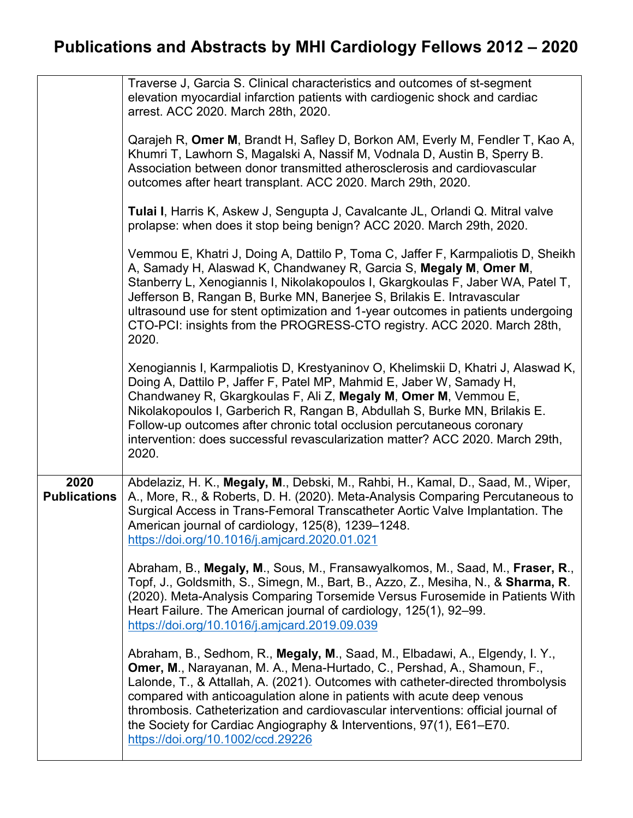|                             | Traverse J, Garcia S. Clinical characteristics and outcomes of st-segment<br>elevation myocardial infarction patients with cardiogenic shock and cardiac<br>arrest. ACC 2020. March 28th, 2020.                                                                                                                                                                                                                                                                                                                         |
|-----------------------------|-------------------------------------------------------------------------------------------------------------------------------------------------------------------------------------------------------------------------------------------------------------------------------------------------------------------------------------------------------------------------------------------------------------------------------------------------------------------------------------------------------------------------|
|                             | Qarajeh R, Omer M, Brandt H, Safley D, Borkon AM, Everly M, Fendler T, Kao A,<br>Khumri T, Lawhorn S, Magalski A, Nassif M, Vodnala D, Austin B, Sperry B.<br>Association between donor transmitted atherosclerosis and cardiovascular<br>outcomes after heart transplant. ACC 2020. March 29th, 2020.                                                                                                                                                                                                                  |
|                             | Tulai I, Harris K, Askew J, Sengupta J, Cavalcante JL, Orlandi Q. Mitral valve<br>prolapse: when does it stop being benign? ACC 2020. March 29th, 2020.                                                                                                                                                                                                                                                                                                                                                                 |
|                             | Vemmou E, Khatri J, Doing A, Dattilo P, Toma C, Jaffer F, Karmpaliotis D, Sheikh<br>A, Samady H, Alaswad K, Chandwaney R, Garcia S, Megaly M, Omer M,<br>Stanberry L, Xenogiannis I, Nikolakopoulos I, Gkargkoulas F, Jaber WA, Patel T,<br>Jefferson B, Rangan B, Burke MN, Banerjee S, Brilakis E. Intravascular<br>ultrasound use for stent optimization and 1-year outcomes in patients undergoing<br>CTO-PCI: insights from the PROGRESS-CTO registry. ACC 2020. March 28th,<br>2020.                              |
|                             | Xenogiannis I, Karmpaliotis D, Krestyaninov O, Khelimskii D, Khatri J, Alaswad K,<br>Doing A, Dattilo P, Jaffer F, Patel MP, Mahmid E, Jaber W, Samady H,<br>Chandwaney R, Gkargkoulas F, Ali Z, Megaly M, Omer M, Vemmou E,<br>Nikolakopoulos I, Garberich R, Rangan B, Abdullah S, Burke MN, Brilakis E.<br>Follow-up outcomes after chronic total occlusion percutaneous coronary<br>intervention: does successful revascularization matter? ACC 2020. March 29th,<br>2020.                                          |
| 2020<br><b>Publications</b> | Abdelaziz, H. K., Megaly, M., Debski, M., Rahbi, H., Kamal, D., Saad, M., Wiper,<br>A., More, R., & Roberts, D. H. (2020). Meta-Analysis Comparing Percutaneous to<br>Surgical Access in Trans-Femoral Transcatheter Aortic Valve Implantation. The<br>American journal of cardiology, 125(8), 1239-1248.<br>https://doi.org/10.1016/j.amjcard.2020.01.021                                                                                                                                                              |
|                             | Abraham, B., Megaly, M., Sous, M., Fransawyalkomos, M., Saad, M., Fraser, R.,<br>Topf, J., Goldsmith, S., Simegn, M., Bart, B., Azzo, Z., Mesiha, N., & Sharma, R.<br>(2020). Meta-Analysis Comparing Torsemide Versus Furosemide in Patients With<br>Heart Failure. The American journal of cardiology, 125(1), 92–99.<br>https://doi.org/10.1016/j.amjcard.2019.09.039                                                                                                                                                |
|                             | Abraham, B., Sedhom, R., Megaly, M., Saad, M., Elbadawi, A., Elgendy, I. Y.,<br>Omer, M., Narayanan, M. A., Mena-Hurtado, C., Pershad, A., Shamoun, F.,<br>Lalonde, T., & Attallah, A. (2021). Outcomes with catheter-directed thrombolysis<br>compared with anticoagulation alone in patients with acute deep venous<br>thrombosis. Catheterization and cardiovascular interventions: official journal of<br>the Society for Cardiac Angiography & Interventions, 97(1), E61–E70.<br>https://doi.org/10.1002/ccd.29226 |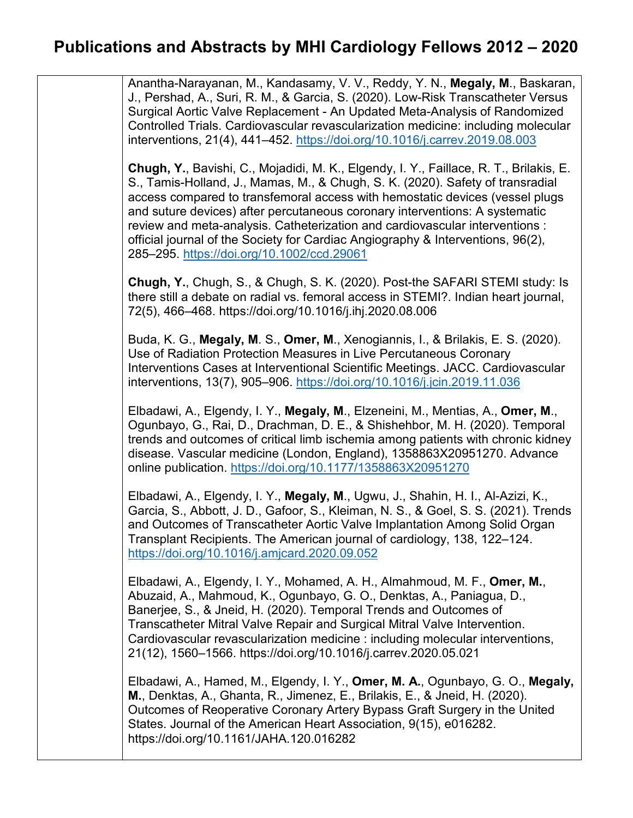Anantha-Narayanan, M., Kandasamy, V. V., Reddy, Y. N., **Megaly, M**., Baskaran, J., Pershad, A., Suri, R. M., & Garcia, S. (2020). Low-Risk Transcatheter Versus Surgical Aortic Valve Replacement - An Updated Meta-Analysis of Randomized Controlled Trials. Cardiovascular revascularization medicine: including molecular interventions, 21(4), 441–452.<https://doi.org/10.1016/j.carrev.2019.08.003>

**Chugh, Y.**, Bavishi, C., Mojadidi, M. K., Elgendy, I. Y., Faillace, R. T., Brilakis, E. S., Tamis-Holland, J., Mamas, M., & Chugh, S. K. (2020). Safety of transradial access compared to transfemoral access with hemostatic devices (vessel plugs and suture devices) after percutaneous coronary interventions: A systematic review and meta-analysis. Catheterization and cardiovascular interventions : official journal of the Society for Cardiac Angiography & Interventions, 96(2), 285–295.<https://doi.org/10.1002/ccd.29061>

**Chugh, Y.**, Chugh, S., & Chugh, S. K. (2020). Post-the SAFARI STEMI study: Is there still a debate on radial vs. femoral access in STEMI?. Indian heart journal, 72(5), 466–468. https://doi.org/10.1016/j.ihj.2020.08.006

Buda, K. G., **Megaly, M**. S., **Omer, M**., Xenogiannis, I., & Brilakis, E. S. (2020). Use of Radiation Protection Measures in Live Percutaneous Coronary Interventions Cases at Interventional Scientific Meetings. JACC. Cardiovascular interventions, 13(7), 905–906.<https://doi.org/10.1016/j.jcin.2019.11.036>

Elbadawi, A., Elgendy, I. Y., **Megaly, M**., Elzeneini, M., Mentias, A., **Omer, M**., Ogunbayo, G., Rai, D., Drachman, D. E., & Shishehbor, M. H. (2020). Temporal trends and outcomes of critical limb ischemia among patients with chronic kidney disease. Vascular medicine (London, England), 1358863X20951270. Advance online publication.<https://doi.org/10.1177/1358863X20951270>

Elbadawi, A., Elgendy, I. Y., **Megaly, M**., Ugwu, J., Shahin, H. I., Al-Azizi, K., Garcia, S., Abbott, J. D., Gafoor, S., Kleiman, N. S., & Goel, S. S. (2021). Trends and Outcomes of Transcatheter Aortic Valve Implantation Among Solid Organ Transplant Recipients. The American journal of cardiology, 138, 122–124. <https://doi.org/10.1016/j.amjcard.2020.09.052>

Elbadawi, A., Elgendy, I. Y., Mohamed, A. H., Almahmoud, M. F., **Omer, M.**, Abuzaid, A., Mahmoud, K., Ogunbayo, G. O., Denktas, A., Paniagua, D., Banerjee, S., & Jneid, H. (2020). Temporal Trends and Outcomes of Transcatheter Mitral Valve Repair and Surgical Mitral Valve Intervention. Cardiovascular revascularization medicine : including molecular interventions, 21(12), 1560–1566. https://doi.org/10.1016/j.carrev.2020.05.021

Elbadawi, A., Hamed, M., Elgendy, I. Y., **Omer, M. A.**, Ogunbayo, G. O., **Megaly, M.**, Denktas, A., Ghanta, R., Jimenez, E., Brilakis, E., & Jneid, H. (2020). Outcomes of Reoperative Coronary Artery Bypass Graft Surgery in the United States. Journal of the American Heart Association, 9(15), e016282. https://doi.org/10.1161/JAHA.120.016282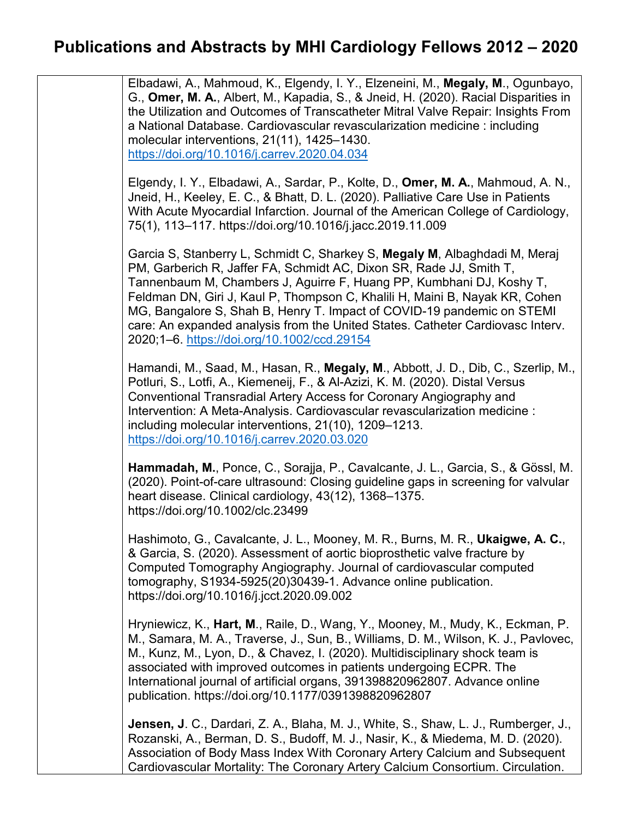Elbadawi, A., Mahmoud, K., Elgendy, I. Y., Elzeneini, M., **Megaly, M**., Ogunbayo, G., **Omer, M. A.**, Albert, M., Kapadia, S., & Jneid, H. (2020). Racial Disparities in the Utilization and Outcomes of Transcatheter Mitral Valve Repair: Insights From a National Database. Cardiovascular revascularization medicine : including molecular interventions, 21(11), 1425–1430. <https://doi.org/10.1016/j.carrev.2020.04.034> Elgendy, I. Y., Elbadawi, A., Sardar, P., Kolte, D., **Omer, M. A.**, Mahmoud, A. N., Jneid, H., Keeley, E. C., & Bhatt, D. L. (2020). Palliative Care Use in Patients With Acute Myocardial Infarction. Journal of the American College of Cardiology, 75(1), 113–117. https://doi.org/10.1016/j.jacc.2019.11.009 Garcia S, Stanberry L, Schmidt C, Sharkey S, **Megaly M**, Albaghdadi M, Meraj PM, Garberich R, Jaffer FA, Schmidt AC, Dixon SR, Rade JJ, Smith T, Tannenbaum M, Chambers J, Aguirre F, Huang PP, Kumbhani DJ, Koshy T, Feldman DN, Giri J, Kaul P, Thompson C, Khalili H, Maini B, Nayak KR, Cohen MG, Bangalore S, Shah B, Henry T. Impact of COVID-19 pandemic on STEMI care: An expanded analysis from the United States. Catheter Cardiovasc Interv. 2020;1–6.<https://doi.org/10.1002/ccd.29154> Hamandi, M., Saad, M., Hasan, R., **Megaly, M**., Abbott, J. D., Dib, C., Szerlip, M., Potluri, S., Lotfi, A., Kiemeneij, F., & Al-Azizi, K. M. (2020). Distal Versus Conventional Transradial Artery Access for Coronary Angiography and Intervention: A Meta-Analysis. Cardiovascular revascularization medicine : including molecular interventions, 21(10), 1209–1213. <https://doi.org/10.1016/j.carrev.2020.03.020> **Hammadah, M.**, Ponce, C., Sorajja, P., Cavalcante, J. L., Garcia, S., & Gössl, M. (2020). Point-of-care ultrasound: Closing guideline gaps in screening for valvular heart disease. Clinical cardiology, 43(12), 1368–1375. https://doi.org/10.1002/clc.23499 Hashimoto, G., Cavalcante, J. L., Mooney, M. R., Burns, M. R., **Ukaigwe, A. C.**, & Garcia, S. (2020). Assessment of aortic bioprosthetic valve fracture by Computed Tomography Angiography. Journal of cardiovascular computed tomography, S1934-5925(20)30439-1. Advance online publication. https://doi.org/10.1016/j.jcct.2020.09.002 Hryniewicz, K., **Hart, M**., Raile, D., Wang, Y., Mooney, M., Mudy, K., Eckman, P. M., Samara, M. A., Traverse, J., Sun, B., Williams, D. M., Wilson, K. J., Pavlovec, M., Kunz, M., Lyon, D., & Chavez, I. (2020). Multidisciplinary shock team is associated with improved outcomes in patients undergoing ECPR. The International journal of artificial organs, 391398820962807. Advance online publication. https://doi.org/10.1177/0391398820962807 **Jensen, J**. C., Dardari, Z. A., Blaha, M. J., White, S., Shaw, L. J., Rumberger, J., Rozanski, A., Berman, D. S., Budoff, M. J., Nasir, K., & Miedema, M. D. (2020). Association of Body Mass Index With Coronary Artery Calcium and Subsequent Cardiovascular Mortality: The Coronary Artery Calcium Consortium. Circulation.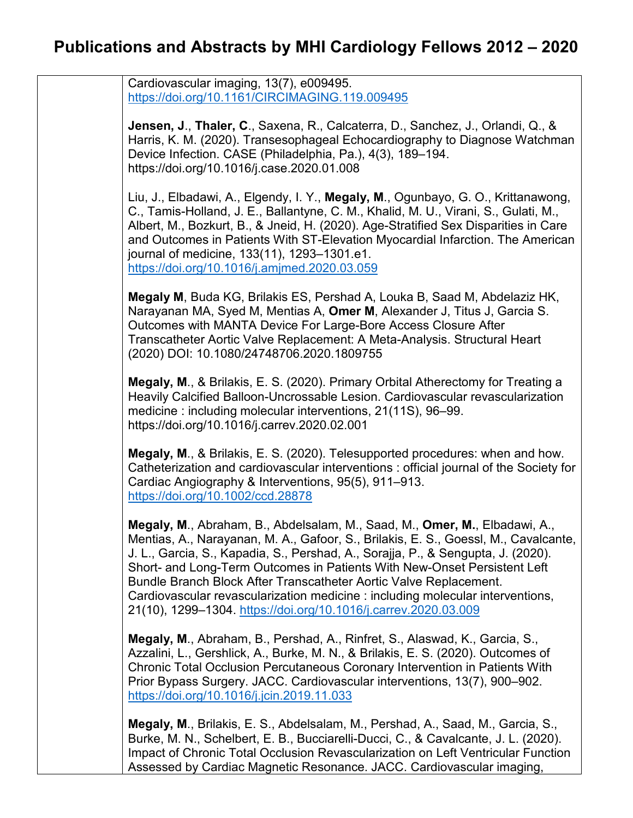Cardiovascular imaging, 13(7), e009495. <https://doi.org/10.1161/CIRCIMAGING.119.009495>

**Jensen, J**., **Thaler, C**., Saxena, R., Calcaterra, D., Sanchez, J., Orlandi, Q., & Harris, K. M. (2020). Transesophageal Echocardiography to Diagnose Watchman Device Infection. CASE (Philadelphia, Pa.), 4(3), 189–194. https://doi.org/10.1016/j.case.2020.01.008

Liu, J., Elbadawi, A., Elgendy, I. Y., **Megaly, M**., Ogunbayo, G. O., Krittanawong, C., Tamis-Holland, J. E., Ballantyne, C. M., Khalid, M. U., Virani, S., Gulati, M., Albert, M., Bozkurt, B., & Jneid, H. (2020). Age-Stratified Sex Disparities in Care and Outcomes in Patients With ST-Elevation Myocardial Infarction. The American journal of medicine, 133(11), 1293–1301.e1. <https://doi.org/10.1016/j.amjmed.2020.03.059>

**Megaly M**, Buda KG, Brilakis ES, Pershad A, Louka B, Saad M, Abdelaziz HK, Narayanan MA, Syed M, Mentias A, **Omer M**, Alexander J, Titus J, Garcia S. Outcomes with MANTA Device For Large-Bore Access Closure After Transcatheter Aortic Valve Replacement: A Meta-Analysis. Structural Heart (2020) DOI: 10.1080/24748706.2020.1809755

**Megaly, M**., & Brilakis, E. S. (2020). Primary Orbital Atherectomy for Treating a Heavily Calcified Balloon-Uncrossable Lesion. Cardiovascular revascularization medicine : including molecular interventions, 21(11S), 96–99. https://doi.org/10.1016/j.carrev.2020.02.001

**Megaly, M**., & Brilakis, E. S. (2020). Telesupported procedures: when and how. Catheterization and cardiovascular interventions : official journal of the Society for Cardiac Angiography & Interventions, 95(5), 911–913. <https://doi.org/10.1002/ccd.28878>

**Megaly, M**., Abraham, B., Abdelsalam, M., Saad, M., **Omer, M.**, Elbadawi, A., Mentias, A., Narayanan, M. A., Gafoor, S., Brilakis, E. S., Goessl, M., Cavalcante, J. L., Garcia, S., Kapadia, S., Pershad, A., Sorajja, P., & Sengupta, J. (2020). Short- and Long-Term Outcomes in Patients With New-Onset Persistent Left Bundle Branch Block After Transcatheter Aortic Valve Replacement. Cardiovascular revascularization medicine : including molecular interventions, 21(10), 1299–1304.<https://doi.org/10.1016/j.carrev.2020.03.009>

**Megaly, M**., Abraham, B., Pershad, A., Rinfret, S., Alaswad, K., Garcia, S., Azzalini, L., Gershlick, A., Burke, M. N., & Brilakis, E. S. (2020). Outcomes of Chronic Total Occlusion Percutaneous Coronary Intervention in Patients With Prior Bypass Surgery. JACC. Cardiovascular interventions, 13(7), 900–902. <https://doi.org/10.1016/j.jcin.2019.11.033>

**Megaly, M**., Brilakis, E. S., Abdelsalam, M., Pershad, A., Saad, M., Garcia, S., Burke, M. N., Schelbert, E. B., Bucciarelli-Ducci, C., & Cavalcante, J. L. (2020). Impact of Chronic Total Occlusion Revascularization on Left Ventricular Function Assessed by Cardiac Magnetic Resonance. JACC. Cardiovascular imaging,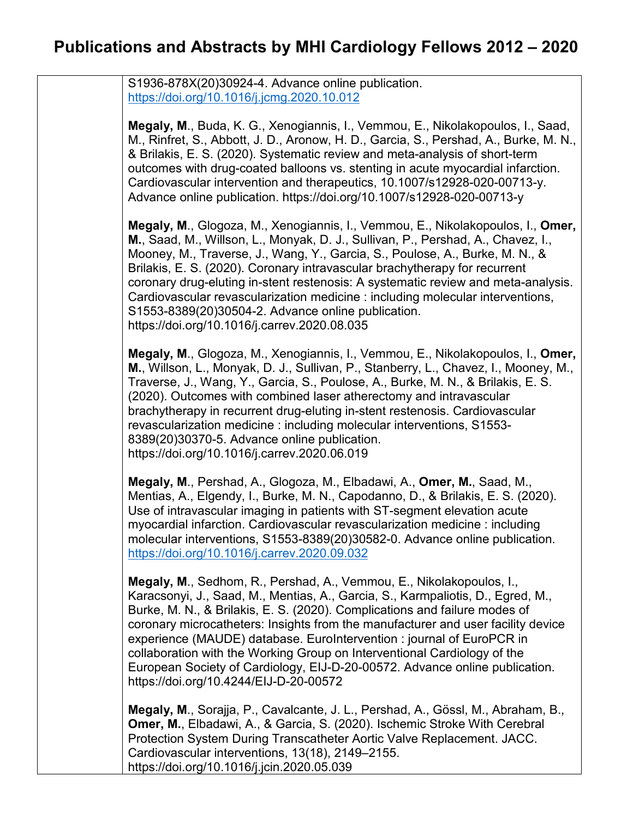S1936-878X(20)30924-4. Advance online publication. <https://doi.org/10.1016/j.jcmg.2020.10.012>

**Megaly, M**., Buda, K. G., Xenogiannis, I., Vemmou, E., Nikolakopoulos, I., Saad, M., Rinfret, S., Abbott, J. D., Aronow, H. D., Garcia, S., Pershad, A., Burke, M. N., & Brilakis, E. S. (2020). Systematic review and meta-analysis of short-term outcomes with drug-coated balloons vs. stenting in acute myocardial infarction. Cardiovascular intervention and therapeutics, 10.1007/s12928-020-00713-y. Advance online publication. https://doi.org/10.1007/s12928-020-00713-y

**Megaly, M**., Glogoza, M., Xenogiannis, I., Vemmou, E., Nikolakopoulos, I., **Omer, M.**, Saad, M., Willson, L., Monyak, D. J., Sullivan, P., Pershad, A., Chavez, I., Mooney, M., Traverse, J., Wang, Y., Garcia, S., Poulose, A., Burke, M. N., & Brilakis, E. S. (2020). Coronary intravascular brachytherapy for recurrent coronary drug-eluting in-stent restenosis: A systematic review and meta-analysis. Cardiovascular revascularization medicine : including molecular interventions, S1553-8389(20)30504-2. Advance online publication. https://doi.org/10.1016/j.carrev.2020.08.035

**Megaly, M**., Glogoza, M., Xenogiannis, I., Vemmou, E., Nikolakopoulos, I., **Omer, M.**, Willson, L., Monyak, D. J., Sullivan, P., Stanberry, L., Chavez, I., Mooney, M., Traverse, J., Wang, Y., Garcia, S., Poulose, A., Burke, M. N., & Brilakis, E. S. (2020). Outcomes with combined laser atherectomy and intravascular brachytherapy in recurrent drug-eluting in-stent restenosis. Cardiovascular revascularization medicine : including molecular interventions, S1553- 8389(20)30370-5. Advance online publication. https://doi.org/10.1016/j.carrev.2020.06.019

**Megaly, M**., Pershad, A., Glogoza, M., Elbadawi, A., **Omer, M.**, Saad, M., Mentias, A., Elgendy, I., Burke, M. N., Capodanno, D., & Brilakis, E. S. (2020). Use of intravascular imaging in patients with ST-segment elevation acute myocardial infarction. Cardiovascular revascularization medicine : including molecular interventions, S1553-8389(20)30582-0. Advance online publication. <https://doi.org/10.1016/j.carrev.2020.09.032>

**Megaly, M**., Sedhom, R., Pershad, A., Vemmou, E., Nikolakopoulos, I., Karacsonyi, J., Saad, M., Mentias, A., Garcia, S., Karmpaliotis, D., Egred, M., Burke, M. N., & Brilakis, E. S. (2020). Complications and failure modes of coronary microcatheters: Insights from the manufacturer and user facility device experience (MAUDE) database. EuroIntervention : journal of EuroPCR in collaboration with the Working Group on Interventional Cardiology of the European Society of Cardiology, EIJ-D-20-00572. Advance online publication. https://doi.org/10.4244/EIJ-D-20-00572

**Megaly, M**., Sorajja, P., Cavalcante, J. L., Pershad, A., Gössl, M., Abraham, B., **Omer, M.**, Elbadawi, A., & Garcia, S. (2020). Ischemic Stroke With Cerebral Protection System During Transcatheter Aortic Valve Replacement. JACC. Cardiovascular interventions, 13(18), 2149–2155. https://doi.org/10.1016/j.jcin.2020.05.039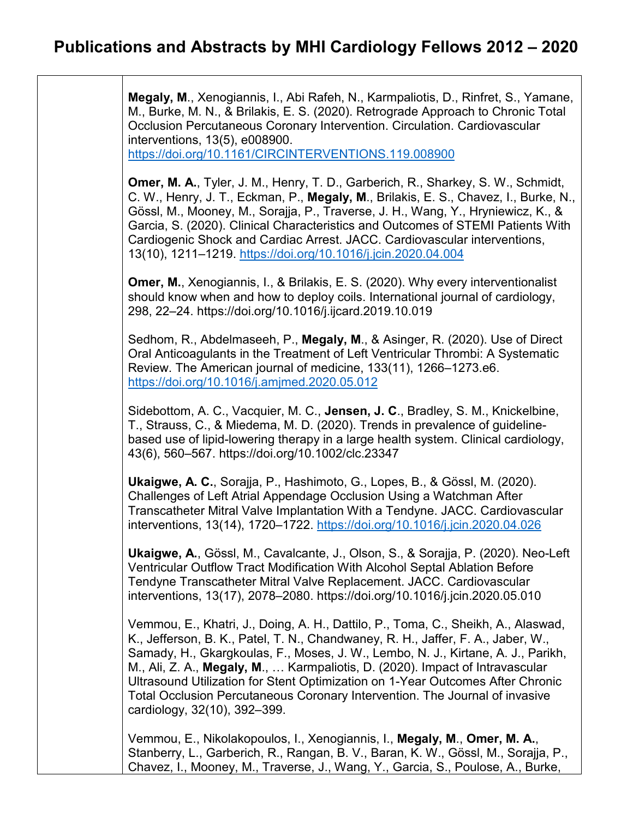**Megaly, M**., Xenogiannis, I., Abi Rafeh, N., Karmpaliotis, D., Rinfret, S., Yamane, M., Burke, M. N., & Brilakis, E. S. (2020). Retrograde Approach to Chronic Total Occlusion Percutaneous Coronary Intervention. Circulation. Cardiovascular interventions, 13(5), e008900.

<https://doi.org/10.1161/CIRCINTERVENTIONS.119.008900>

**Omer, M. A.**, Tyler, J. M., Henry, T. D., Garberich, R., Sharkey, S. W., Schmidt, C. W., Henry, J. T., Eckman, P., **Megaly, M**., Brilakis, E. S., Chavez, I., Burke, N., Gössl, M., Mooney, M., Sorajja, P., Traverse, J. H., Wang, Y., Hryniewicz, K., & Garcia, S. (2020). Clinical Characteristics and Outcomes of STEMI Patients With Cardiogenic Shock and Cardiac Arrest. JACC. Cardiovascular interventions, 13(10), 1211–1219.<https://doi.org/10.1016/j.jcin.2020.04.004>

**Omer, M.**, Xenogiannis, I., & Brilakis, E. S. (2020). Why every interventionalist should know when and how to deploy coils. International journal of cardiology, 298, 22–24. https://doi.org/10.1016/j.ijcard.2019.10.019

Sedhom, R., Abdelmaseeh, P., **Megaly, M**., & Asinger, R. (2020). Use of Direct Oral Anticoagulants in the Treatment of Left Ventricular Thrombi: A Systematic Review. The American journal of medicine, 133(11), 1266–1273.e6. <https://doi.org/10.1016/j.amjmed.2020.05.012>

Sidebottom, A. C., Vacquier, M. C., **Jensen, J. C**., Bradley, S. M., Knickelbine, T., Strauss, C., & Miedema, M. D. (2020). Trends in prevalence of guidelinebased use of lipid-lowering therapy in a large health system. Clinical cardiology, 43(6), 560–567. https://doi.org/10.1002/clc.23347

**Ukaigwe, A. C.**, Sorajja, P., Hashimoto, G., Lopes, B., & Gössl, M. (2020). Challenges of Left Atrial Appendage Occlusion Using a Watchman After Transcatheter Mitral Valve Implantation With a Tendyne. JACC. Cardiovascular interventions, 13(14), 1720–1722.<https://doi.org/10.1016/j.jcin.2020.04.026>

**Ukaigwe, A.**, Gössl, M., Cavalcante, J., Olson, S., & Sorajja, P. (2020). Neo-Left Ventricular Outflow Tract Modification With Alcohol Septal Ablation Before Tendyne Transcatheter Mitral Valve Replacement. JACC. Cardiovascular interventions, 13(17), 2078–2080. https://doi.org/10.1016/j.jcin.2020.05.010

Vemmou, E., Khatri, J., Doing, A. H., Dattilo, P., Toma, C., Sheikh, A., Alaswad, K., Jefferson, B. K., Patel, T. N., Chandwaney, R. H., Jaffer, F. A., Jaber, W., Samady, H., Gkargkoulas, F., Moses, J. W., Lembo, N. J., Kirtane, A. J., Parikh, M., Ali, Z. A., **Megaly, M**., … Karmpaliotis, D. (2020). Impact of Intravascular Ultrasound Utilization for Stent Optimization on 1-Year Outcomes After Chronic Total Occlusion Percutaneous Coronary Intervention. The Journal of invasive cardiology, 32(10), 392–399.

Vemmou, E., Nikolakopoulos, I., Xenogiannis, I., **Megaly, M**., **Omer, M. A.**, Stanberry, L., Garberich, R., Rangan, B. V., Baran, K. W., Gössl, M., Sorajja, P., Chavez, I., Mooney, M., Traverse, J., Wang, Y., Garcia, S., Poulose, A., Burke,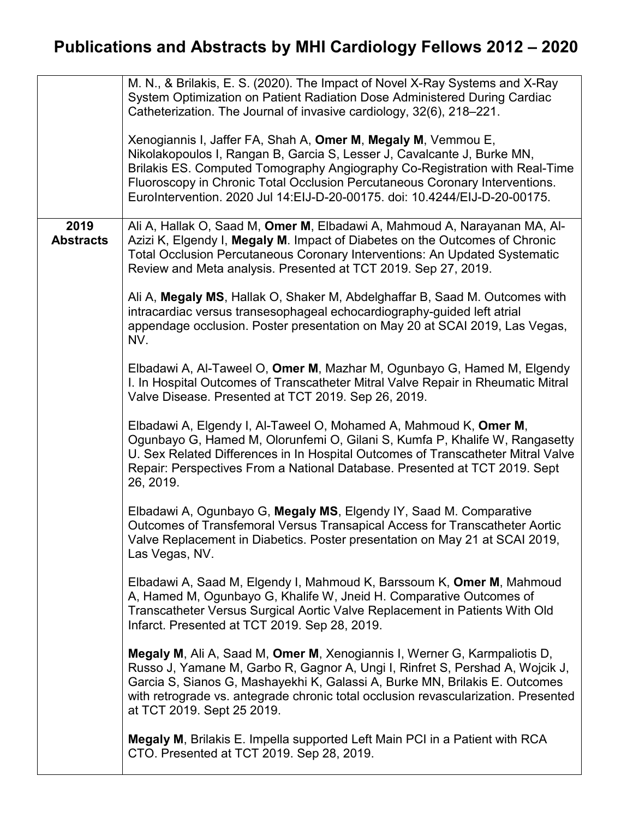|                          | M. N., & Brilakis, E. S. (2020). The Impact of Novel X-Ray Systems and X-Ray<br>System Optimization on Patient Radiation Dose Administered During Cardiac<br>Catheterization. The Journal of invasive cardiology, 32(6), 218-221.<br>Xenogiannis I, Jaffer FA, Shah A, Omer M, Megaly M, Vemmou E,<br>Nikolakopoulos I, Rangan B, Garcia S, Lesser J, Cavalcante J, Burke MN,<br>Brilakis ES. Computed Tomography Angiography Co-Registration with Real-Time<br>Fluoroscopy in Chronic Total Occlusion Percutaneous Coronary Interventions.<br>EuroIntervention. 2020 Jul 14: EIJ-D-20-00175. doi: 10.4244/EIJ-D-20-00175.                                                                                                                                                                                                                                                                                                                                                                                                                                                                                                                                                                                                                                                                                                                                                                                                                                                                                                                                                                                                                                                                                                                                                                                                                                                                                                                                                                                                                                                                                     |
|--------------------------|----------------------------------------------------------------------------------------------------------------------------------------------------------------------------------------------------------------------------------------------------------------------------------------------------------------------------------------------------------------------------------------------------------------------------------------------------------------------------------------------------------------------------------------------------------------------------------------------------------------------------------------------------------------------------------------------------------------------------------------------------------------------------------------------------------------------------------------------------------------------------------------------------------------------------------------------------------------------------------------------------------------------------------------------------------------------------------------------------------------------------------------------------------------------------------------------------------------------------------------------------------------------------------------------------------------------------------------------------------------------------------------------------------------------------------------------------------------------------------------------------------------------------------------------------------------------------------------------------------------------------------------------------------------------------------------------------------------------------------------------------------------------------------------------------------------------------------------------------------------------------------------------------------------------------------------------------------------------------------------------------------------------------------------------------------------------------------------------------------------|
| 2019<br><b>Abstracts</b> | Ali A, Hallak O, Saad M, Omer M, Elbadawi A, Mahmoud A, Narayanan MA, Al-<br>Azizi K, Elgendy I, Megaly M. Impact of Diabetes on the Outcomes of Chronic<br>Total Occlusion Percutaneous Coronary Interventions: An Updated Systematic<br>Review and Meta analysis. Presented at TCT 2019. Sep 27, 2019.<br>Ali A, Megaly MS, Hallak O, Shaker M, Abdelghaffar B, Saad M. Outcomes with<br>intracardiac versus transesophageal echocardiography-guided left atrial<br>appendage occlusion. Poster presentation on May 20 at SCAI 2019, Las Vegas,<br>NV.<br>Elbadawi A, Al-Taweel O, Omer M, Mazhar M, Ogunbayo G, Hamed M, Elgendy<br>I. In Hospital Outcomes of Transcatheter Mitral Valve Repair in Rheumatic Mitral<br>Valve Disease. Presented at TCT 2019. Sep 26, 2019.<br>Elbadawi A, Elgendy I, Al-Taweel O, Mohamed A, Mahmoud K, Omer M,<br>Ogunbayo G, Hamed M, Olorunfemi O, Gilani S, Kumfa P, Khalife W, Rangasetty<br>U. Sex Related Differences in In Hospital Outcomes of Transcatheter Mitral Valve<br>Repair: Perspectives From a National Database. Presented at TCT 2019. Sept<br>26, 2019.<br>Elbadawi A, Ogunbayo G, Megaly MS, Elgendy IY, Saad M. Comparative<br>Outcomes of Transfemoral Versus Transapical Access for Transcatheter Aortic<br>Valve Replacement in Diabetics. Poster presentation on May 21 at SCAI 2019,<br>Las Vegas, NV.<br>Elbadawi A, Saad M, Elgendy I, Mahmoud K, Barssoum K, Omer M, Mahmoud<br>A, Hamed M, Ogunbayo G, Khalife W, Jneid H. Comparative Outcomes of<br>Transcatheter Versus Surgical Aortic Valve Replacement in Patients With Old<br>Infarct. Presented at TCT 2019. Sep 28, 2019.<br>Megaly M, Ali A, Saad M, Omer M, Xenogiannis I, Werner G, Karmpaliotis D,<br>Russo J, Yamane M, Garbo R, Gagnor A, Ungi I, Rinfret S, Pershad A, Wojcik J,<br>Garcia S, Sianos G, Mashayekhi K, Galassi A, Burke MN, Brilakis E. Outcomes<br>with retrograde vs. antegrade chronic total occlusion revascularization. Presented<br>at TCT 2019. Sept 25 2019.<br><b>Megaly M, Brilakis E. Impella supported Left Main PCI in a Patient with RCA</b> |
|                          | CTO. Presented at TCT 2019. Sep 28, 2019.                                                                                                                                                                                                                                                                                                                                                                                                                                                                                                                                                                                                                                                                                                                                                                                                                                                                                                                                                                                                                                                                                                                                                                                                                                                                                                                                                                                                                                                                                                                                                                                                                                                                                                                                                                                                                                                                                                                                                                                                                                                                      |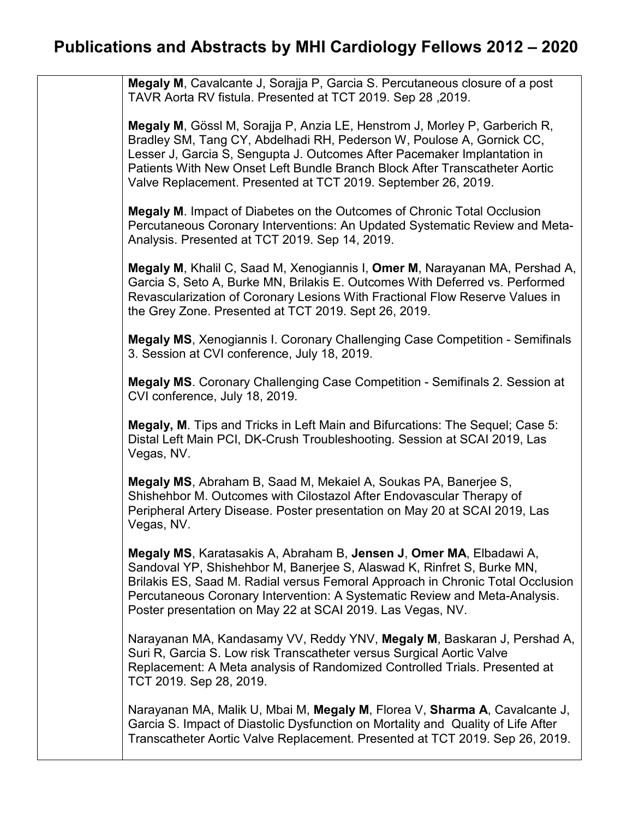**Megaly M**, Cavalcante J, Sorajja P, Garcia S. Percutaneous closure of a post TAVR Aorta RV fistula. Presented at TCT 2019. Sep 28 ,2019.

**Megaly M**, Gössl M, Sorajja P, Anzia LE, Henstrom J, Morley P, Garberich R, Bradley SM, Tang CY, Abdelhadi RH, Pederson W, Poulose A, Gornick CC, Lesser J, Garcia S, Sengupta J. Outcomes After Pacemaker Implantation in Patients With New Onset Left Bundle Branch Block After Transcatheter Aortic Valve Replacement. Presented at TCT 2019. September 26, 2019.

**Megaly M**. Impact of Diabetes on the Outcomes of Chronic Total Occlusion Percutaneous Coronary Interventions: An Updated Systematic Review and Meta-Analysis. Presented at TCT 2019. Sep 14, 2019.

**Megaly M**, Khalil C, Saad M, Xenogiannis I, **Omer M**, Narayanan MA, Pershad A, Garcia S, Seto A, Burke MN, Brilakis E. Outcomes With Deferred vs. Performed Revascularization of Coronary Lesions With Fractional Flow Reserve Values in the Grey Zone. Presented at TCT 2019. Sept 26, 2019.

**Megaly MS**, Xenogiannis I. Coronary Challenging Case Competition - Semifinals 3. Session at CVI conference, July 18, 2019.

**Megaly MS**. Coronary Challenging Case Competition - Semifinals 2. Session at CVI conference, July 18, 2019.

**Megaly, M**. Tips and Tricks in Left Main and Bifurcations: The Sequel; Case 5: Distal Left Main PCI, DK-Crush Troubleshooting. Session at SCAI 2019, Las Vegas, NV.

**Megaly MS**, Abraham B, Saad M, Mekaiel A, Soukas PA, Banerjee S, Shishehbor M. Outcomes with Cilostazol After Endovascular Therapy of Peripheral Artery Disease. Poster presentation on May 20 at SCAI 2019, Las Vegas, NV.

**Megaly MS**, Karatasakis A, Abraham B, **Jensen J**, **Omer MA**, Elbadawi A, Sandoval YP, Shishehbor M, Banerjee S, Alaswad K, Rinfret S, Burke MN, Brilakis ES, Saad M. Radial versus Femoral Approach in Chronic Total Occlusion Percutaneous Coronary Intervention: A Systematic Review and Meta-Analysis. Poster presentation on May 22 at SCAI 2019. Las Vegas, NV.

Narayanan MA, Kandasamy VV, Reddy YNV, **Megaly M**, Baskaran J, Pershad A, Suri R, Garcia S. Low risk Transcatheter versus Surgical Aortic Valve Replacement: A Meta analysis of Randomized Controlled Trials. Presented at TCT 2019. Sep 28, 2019.

Narayanan MA, Malik U, Mbai M, **Megaly M**, Florea V, **Sharma A**, Cavalcante J, Garcia S. Impact of Diastolic Dysfunction on Mortality and Quality of Life After Transcatheter Aortic Valve Replacement. Presented at TCT 2019. Sep 26, 2019.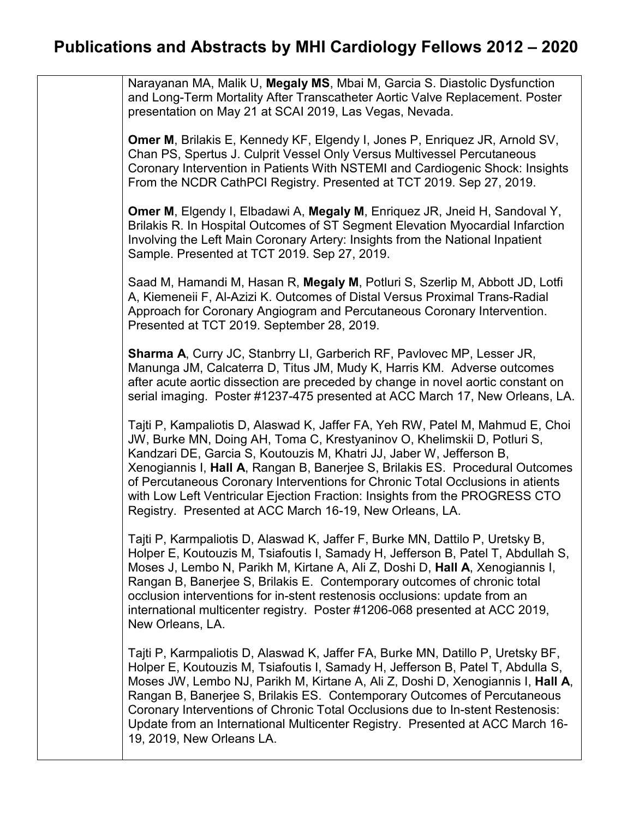| Narayanan MA, Malik U, Megaly MS, Mbai M, Garcia S. Diastolic Dysfunction<br>and Long-Term Mortality After Transcatheter Aortic Valve Replacement. Poster<br>presentation on May 21 at SCAI 2019, Las Vegas, Nevada.                                                                                                                                                                                                                                                                                                                            |
|-------------------------------------------------------------------------------------------------------------------------------------------------------------------------------------------------------------------------------------------------------------------------------------------------------------------------------------------------------------------------------------------------------------------------------------------------------------------------------------------------------------------------------------------------|
| <b>Omer M, Brilakis E, Kennedy KF, Elgendy I, Jones P, Enriquez JR, Arnold SV,</b><br>Chan PS, Spertus J. Culprit Vessel Only Versus Multivessel Percutaneous<br>Coronary Intervention in Patients With NSTEMI and Cardiogenic Shock: Insights<br>From the NCDR CathPCI Registry. Presented at TCT 2019. Sep 27, 2019.                                                                                                                                                                                                                          |
| <b>Omer M, Elgendy I, Elbadawi A, Megaly M, Enriquez JR, Jneid H, Sandoval Y,</b><br>Brilakis R. In Hospital Outcomes of ST Segment Elevation Myocardial Infarction<br>Involving the Left Main Coronary Artery: Insights from the National Inpatient<br>Sample. Presented at TCT 2019. Sep 27, 2019.                                                                                                                                                                                                                                            |
| Saad M, Hamandi M, Hasan R, Megaly M, Potluri S, Szerlip M, Abbott JD, Lotfi<br>A, Kiemeneii F, Al-Azizi K. Outcomes of Distal Versus Proximal Trans-Radial<br>Approach for Coronary Angiogram and Percutaneous Coronary Intervention.<br>Presented at TCT 2019. September 28, 2019.                                                                                                                                                                                                                                                            |
| <b>Sharma A, Curry JC, Stanbrry LI, Garberich RF, Pavlovec MP, Lesser JR,</b><br>Manunga JM, Calcaterra D, Titus JM, Mudy K, Harris KM. Adverse outcomes<br>after acute aortic dissection are preceded by change in novel aortic constant on<br>serial imaging. Poster #1237-475 presented at ACC March 17, New Orleans, LA.                                                                                                                                                                                                                    |
| Tajti P, Kampaliotis D, Alaswad K, Jaffer FA, Yeh RW, Patel M, Mahmud E, Choi<br>JW, Burke MN, Doing AH, Toma C, Krestyaninov O, Khelimskii D, Potluri S,<br>Kandzari DE, Garcia S, Koutouzis M, Khatri JJ, Jaber W, Jefferson B,<br>Xenogiannis I, Hall A, Rangan B, Banerjee S, Brilakis ES. Procedural Outcomes<br>of Percutaneous Coronary Interventions for Chronic Total Occlusions in atients<br>with Low Left Ventricular Ejection Fraction: Insights from the PROGRESS CTO<br>Registry. Presented at ACC March 16-19, New Orleans, LA. |
| Tajti P, Karmpaliotis D, Alaswad K, Jaffer F, Burke MN, Dattilo P, Uretsky B,<br>Holper E, Koutouzis M, Tsiafoutis I, Samady H, Jefferson B, Patel T, Abdullah S,<br>Moses J, Lembo N, Parikh M, Kirtane A, Ali Z, Doshi D, Hall A, Xenogiannis I,<br>Rangan B, Banerjee S, Brilakis E. Contemporary outcomes of chronic total<br>occlusion interventions for in-stent restenosis occlusions: update from an<br>international multicenter registry. Poster #1206-068 presented at ACC 2019,<br>New Orleans, LA.                                 |
| Tajti P, Karmpaliotis D, Alaswad K, Jaffer FA, Burke MN, Datillo P, Uretsky BF,<br>Holper E, Koutouzis M, Tsiafoutis I, Samady H, Jefferson B, Patel T, Abdulla S,<br>Moses JW, Lembo NJ, Parikh M, Kirtane A, Ali Z, Doshi D, Xenogiannis I, Hall A,<br>Rangan B, Banerjee S, Brilakis ES. Contemporary Outcomes of Percutaneous<br>Coronary Interventions of Chronic Total Occlusions due to In-stent Restenosis:<br>Update from an International Multicenter Registry. Presented at ACC March 16-<br>19, 2019, New Orleans LA.               |
|                                                                                                                                                                                                                                                                                                                                                                                                                                                                                                                                                 |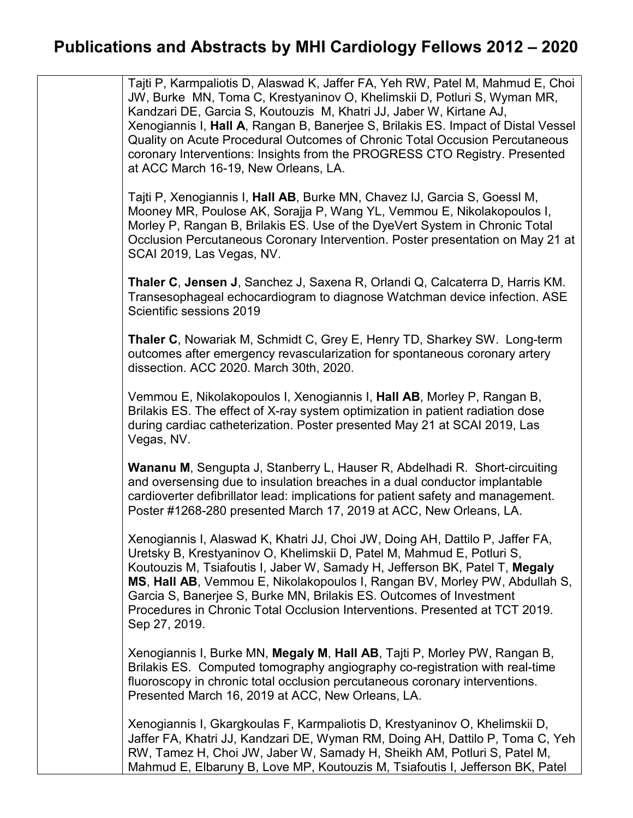Tajti P, Karmpaliotis D, Alaswad K, Jaffer FA, Yeh RW, Patel M, Mahmud E, Choi JW, Burke MN, Toma C, Krestyaninov O, Khelimskii D, Potluri S, Wyman MR, Kandzari DE, Garcia S, Koutouzis M, Khatri JJ, Jaber W, Kirtane AJ, Xenogiannis I, **Hall A**, Rangan B, Banerjee S, Brilakis ES. Impact of Distal Vessel Quality on Acute Procedural Outcomes of Chronic Total Occusion Percutaneous coronary Interventions: Insights from the PROGRESS CTO Registry. Presented at ACC March 16-19, New Orleans, LA. Tajti P, Xenogiannis I, **Hall AB**, Burke MN, Chavez IJ, Garcia S, Goessl M, Mooney MR, Poulose AK, Sorajja P, Wang YL, Vemmou E, Nikolakopoulos I, Morley P, Rangan B, Brilakis ES. Use of the DyeVert System in Chronic Total Occlusion Percutaneous Coronary Intervention. Poster presentation on May 21 at SCAI 2019, Las Vegas, NV.

**Thaler C**, **Jensen J**, Sanchez J, Saxena R, Orlandi Q, Calcaterra D, Harris KM. Transesophageal echocardiogram to diagnose Watchman device infection. ASE Scientific sessions 2019

**Thaler C**, Nowariak M, Schmidt C, Grey E, Henry TD, Sharkey SW. Long-term outcomes after emergency revascularization for spontaneous coronary artery dissection. ACC 2020. March 30th, 2020.

Vemmou E, Nikolakopoulos I, Xenogiannis I, **Hall AB**, Morley P, Rangan B, Brilakis ES. The effect of X-ray system optimization in patient radiation dose during cardiac catheterization. Poster presented May 21 at SCAI 2019, Las Vegas, NV.

**Wananu M**, Sengupta J, Stanberry L, Hauser R, Abdelhadi R. Short-circuiting and oversensing due to insulation breaches in a dual conductor implantable cardioverter defibrillator lead: implications for patient safety and management. Poster #1268-280 presented March 17, 2019 at ACC, New Orleans, LA.

Xenogiannis I, Alaswad K, Khatri JJ, Choi JW, Doing AH, Dattilo P, Jaffer FA, Uretsky B, Krestyaninov O, Khelimskii D, Patel M, Mahmud E, Potluri S, Koutouzis M, Tsiafoutis I, Jaber W, Samady H, Jefferson BK, Patel T, **Megaly MS**, **Hall AB**, Vemmou E, Nikolakopoulos I, Rangan BV, Morley PW, Abdullah S, Garcia S, Banerjee S, Burke MN, Brilakis ES. Outcomes of Investment Procedures in Chronic Total Occlusion Interventions. Presented at TCT 2019. Sep 27, 2019.

Xenogiannis I, Burke MN, **Megaly M**, **Hall AB**, Tajti P, Morley PW, Rangan B, Brilakis ES. Computed tomography angiography co-registration with real-time fluoroscopy in chronic total occlusion percutaneous coronary interventions. Presented March 16, 2019 at ACC, New Orleans, LA.

Xenogiannis I, Gkargkoulas F, Karmpaliotis D, Krestyaninov O, Khelimskii D, Jaffer FA, Khatri JJ, Kandzari DE, Wyman RM, Doing AH, Dattilo P, Toma C, Yeh RW, Tamez H, Choi JW, Jaber W, Samady H, Sheikh AM, Potluri S, Patel M, Mahmud E, Elbaruny B, Love MP, Koutouzis M, Tsiafoutis I, Jefferson BK, Patel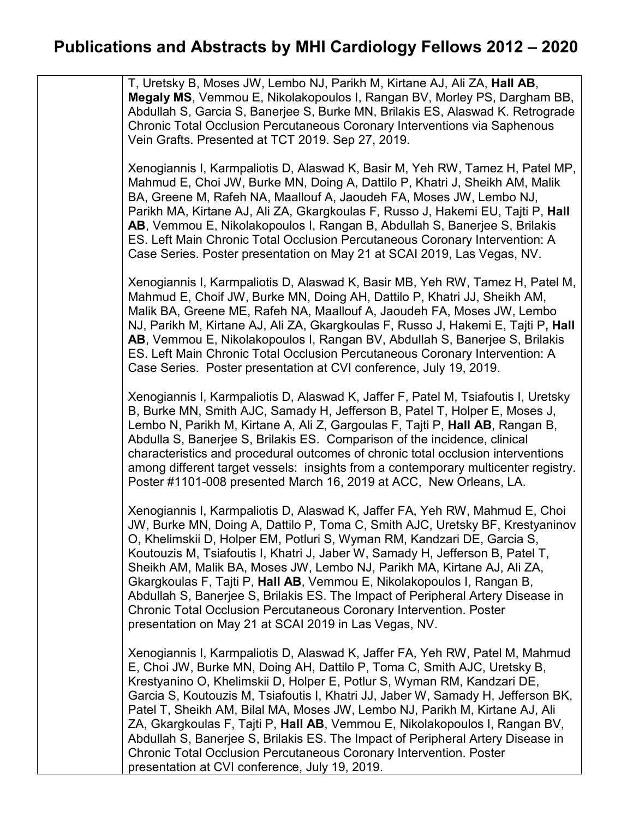| T, Uretsky B, Moses JW, Lembo NJ, Parikh M, Kirtane AJ, Ali ZA, Hall AB,<br>Megaly MS, Vemmou E, Nikolakopoulos I, Rangan BV, Morley PS, Dargham BB,<br>Abdullah S, Garcia S, Banerjee S, Burke MN, Brilakis ES, Alaswad K. Retrograde<br>Chronic Total Occlusion Percutaneous Coronary Interventions via Saphenous<br>Vein Grafts. Presented at TCT 2019. Sep 27, 2019.                                                                                                                                                                                                                                                                                                                                |
|---------------------------------------------------------------------------------------------------------------------------------------------------------------------------------------------------------------------------------------------------------------------------------------------------------------------------------------------------------------------------------------------------------------------------------------------------------------------------------------------------------------------------------------------------------------------------------------------------------------------------------------------------------------------------------------------------------|
| Xenogiannis I, Karmpaliotis D, Alaswad K, Basir M, Yeh RW, Tamez H, Patel MP,<br>Mahmud E, Choi JW, Burke MN, Doing A, Dattilo P, Khatri J, Sheikh AM, Malik<br>BA, Greene M, Rafeh NA, Maallouf A, Jaoudeh FA, Moses JW, Lembo NJ,<br>Parikh MA, Kirtane AJ, Ali ZA, Gkargkoulas F, Russo J, Hakemi EU, Tajti P, Hall<br>AB, Vemmou E, Nikolakopoulos I, Rangan B, Abdullah S, Banerjee S, Brilakis<br>ES. Left Main Chronic Total Occlusion Percutaneous Coronary Intervention: A<br>Case Series. Poster presentation on May 21 at SCAI 2019, Las Vegas, NV.                                                                                                                                          |
| Xenogiannis I, Karmpaliotis D, Alaswad K, Basir MB, Yeh RW, Tamez H, Patel M,<br>Mahmud E, Choif JW, Burke MN, Doing AH, Dattilo P, Khatri JJ, Sheikh AM,<br>Malik BA, Greene ME, Rafeh NA, Maallouf A, Jaoudeh FA, Moses JW, Lembo<br>NJ, Parikh M, Kirtane AJ, Ali ZA, Gkargkoulas F, Russo J, Hakemi E, Tajti P, Hall<br>AB, Vemmou E, Nikolakopoulos I, Rangan BV, Abdullah S, Banerjee S, Brilakis<br>ES. Left Main Chronic Total Occlusion Percutaneous Coronary Intervention: A<br>Case Series. Poster presentation at CVI conference, July 19, 2019.                                                                                                                                            |
| Xenogiannis I, Karmpaliotis D, Alaswad K, Jaffer F, Patel M, Tsiafoutis I, Uretsky<br>B, Burke MN, Smith AJC, Samady H, Jefferson B, Patel T, Holper E, Moses J,<br>Lembo N, Parikh M, Kirtane A, Ali Z, Gargoulas F, Tajti P, Hall AB, Rangan B,<br>Abdulla S, Banerjee S, Brilakis ES. Comparison of the incidence, clinical<br>characteristics and procedural outcomes of chronic total occlusion interventions<br>among different target vessels: insights from a contemporary multicenter registry.<br>Poster #1101-008 presented March 16, 2019 at ACC, New Orleans, LA.                                                                                                                          |
| Xenogiannis I, Karmpaliotis D, Alaswad K, Jaffer FA, Yeh RW, Mahmud E, Choi<br>JW, Burke MN, Doing A, Dattilo P, Toma C, Smith AJC, Uretsky BF, Krestyaninov<br>O, Khelimskii D, Holper EM, Potluri S, Wyman RM, Kandzari DE, Garcia S,<br>Koutouzis M, Tsiafoutis I, Khatri J, Jaber W, Samady H, Jefferson B, Patel T,<br>Sheikh AM, Malik BA, Moses JW, Lembo NJ, Parikh MA, Kirtane AJ, Ali ZA,<br>Gkargkoulas F, Tajti P, Hall AB, Vemmou E, Nikolakopoulos I, Rangan B,<br>Abdullah S, Banerjee S, Brilakis ES. The Impact of Peripheral Artery Disease in<br><b>Chronic Total Occlusion Percutaneous Coronary Intervention. Poster</b><br>presentation on May 21 at SCAI 2019 in Las Vegas, NV.  |
| Xenogiannis I, Karmpaliotis D, Alaswad K, Jaffer FA, Yeh RW, Patel M, Mahmud<br>E, Choi JW, Burke MN, Doing AH, Dattilo P, Toma C, Smith AJC, Uretsky B,<br>Krestyanino O, Khelimskii D, Holper E, Potlur S, Wyman RM, Kandzari DE,<br>Garcia S, Koutouzis M, Tsiafoutis I, Khatri JJ, Jaber W, Samady H, Jefferson BK,<br>Patel T, Sheikh AM, Bilal MA, Moses JW, Lembo NJ, Parikh M, Kirtane AJ, Ali<br>ZA, Gkargkoulas F, Tajti P, Hall AB, Vemmou E, Nikolakopoulos I, Rangan BV,<br>Abdullah S, Banerjee S, Brilakis ES. The Impact of Peripheral Artery Disease in<br><b>Chronic Total Occlusion Percutaneous Coronary Intervention. Poster</b><br>presentation at CVI conference, July 19, 2019. |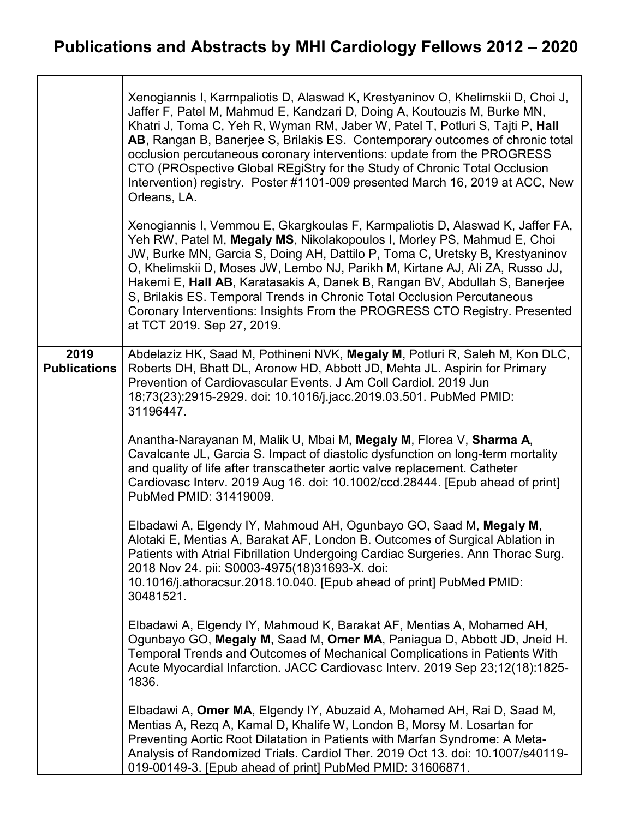|                             | Xenogiannis I, Karmpaliotis D, Alaswad K, Krestyaninov O, Khelimskii D, Choi J,<br>Jaffer F, Patel M, Mahmud E, Kandzari D, Doing A, Koutouzis M, Burke MN,<br>Khatri J, Toma C, Yeh R, Wyman RM, Jaber W, Patel T, Potluri S, Tajti P, Hall<br>AB, Rangan B, Banerjee S, Brilakis ES. Contemporary outcomes of chronic total<br>occlusion percutaneous coronary interventions: update from the PROGRESS<br>CTO (PROspective Global REgiStry for the Study of Chronic Total Occlusion<br>Intervention) registry. Poster #1101-009 presented March 16, 2019 at ACC, New<br>Orleans, LA.        |
|-----------------------------|-----------------------------------------------------------------------------------------------------------------------------------------------------------------------------------------------------------------------------------------------------------------------------------------------------------------------------------------------------------------------------------------------------------------------------------------------------------------------------------------------------------------------------------------------------------------------------------------------|
|                             | Xenogiannis I, Vemmou E, Gkargkoulas F, Karmpaliotis D, Alaswad K, Jaffer FA,<br>Yeh RW, Patel M, Megaly MS, Nikolakopoulos I, Morley PS, Mahmud E, Choi<br>JW, Burke MN, Garcia S, Doing AH, Dattilo P, Toma C, Uretsky B, Krestyaninov<br>O, Khelimskii D, Moses JW, Lembo NJ, Parikh M, Kirtane AJ, Ali ZA, Russo JJ,<br>Hakemi E, Hall AB, Karatasakis A, Danek B, Rangan BV, Abdullah S, Banerjee<br>S, Brilakis ES. Temporal Trends in Chronic Total Occlusion Percutaneous<br>Coronary Interventions: Insights From the PROGRESS CTO Registry. Presented<br>at TCT 2019. Sep 27, 2019. |
| 2019<br><b>Publications</b> | Abdelaziz HK, Saad M, Pothineni NVK, Megaly M, Potluri R, Saleh M, Kon DLC,<br>Roberts DH, Bhatt DL, Aronow HD, Abbott JD, Mehta JL. Aspirin for Primary<br>Prevention of Cardiovascular Events. J Am Coll Cardiol. 2019 Jun<br>18;73(23):2915-2929. doi: 10.1016/j.jacc.2019.03.501. PubMed PMID:<br>31196447.                                                                                                                                                                                                                                                                               |
|                             | Anantha-Narayanan M, Malik U, Mbai M, Megaly M, Florea V, Sharma A,<br>Cavalcante JL, Garcia S. Impact of diastolic dysfunction on long-term mortality<br>and quality of life after transcatheter aortic valve replacement. Catheter<br>Cardiovasc Interv. 2019 Aug 16. doi: 10.1002/ccd.28444. [Epub ahead of print]<br>PubMed PMID: 31419009.                                                                                                                                                                                                                                               |
|                             | Elbadawi A, Elgendy IY, Mahmoud AH, Ogunbayo GO, Saad M, Megaly M,<br>Alotaki E, Mentias A, Barakat AF, London B. Outcomes of Surgical Ablation in<br>Patients with Atrial Fibrillation Undergoing Cardiac Surgeries. Ann Thorac Surg.<br>2018 Nov 24. pii: S0003-4975(18)31693-X. doi:<br>10.1016/j.athoracsur.2018.10.040. [Epub ahead of print] PubMed PMID:<br>30481521.                                                                                                                                                                                                                  |
|                             | Elbadawi A, Elgendy IY, Mahmoud K, Barakat AF, Mentias A, Mohamed AH,<br>Ogunbayo GO, Megaly M, Saad M, Omer MA, Paniagua D, Abbott JD, Jneid H.<br>Temporal Trends and Outcomes of Mechanical Complications in Patients With<br>Acute Myocardial Infarction. JACC Cardiovasc Interv. 2019 Sep 23;12(18):1825-<br>1836.                                                                                                                                                                                                                                                                       |
|                             | Elbadawi A, Omer MA, Elgendy IY, Abuzaid A, Mohamed AH, Rai D, Saad M,<br>Mentias A, Rezq A, Kamal D, Khalife W, London B, Morsy M. Losartan for<br>Preventing Aortic Root Dilatation in Patients with Marfan Syndrome: A Meta-<br>Analysis of Randomized Trials. Cardiol Ther. 2019 Oct 13. doi: 10.1007/s40119-<br>019-00149-3. [Epub ahead of print] PubMed PMID: 31606871.                                                                                                                                                                                                                |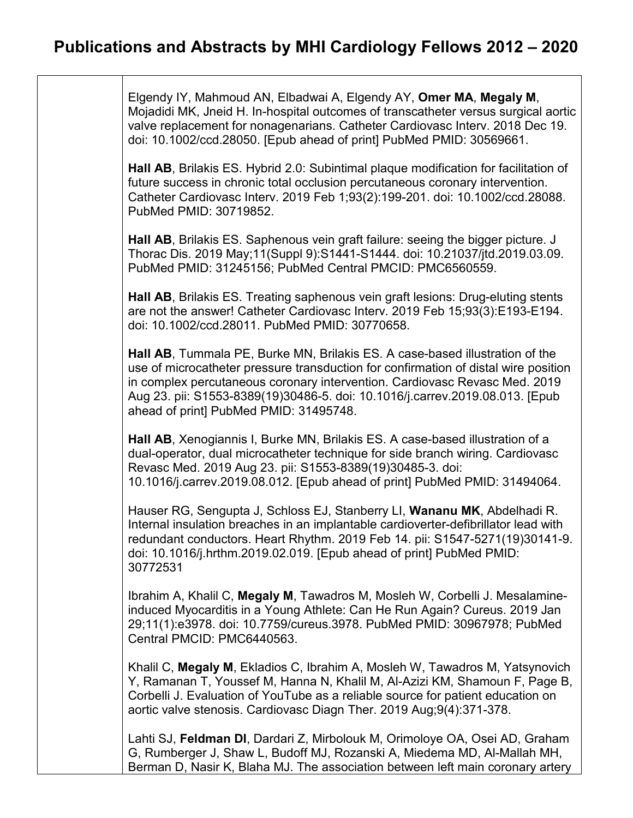Elgendy IY, Mahmoud AN, Elbadwai A, Elgendy AY, **Omer MA**, **Megaly M**, Mojadidi MK, Jneid H. In-hospital outcomes of transcatheter versus surgical aortic valve replacement for nonagenarians. Catheter Cardiovasc Interv. 2018 Dec 19. doi: 10.1002/ccd.28050. [Epub ahead of print] PubMed PMID: 30569661.

**Hall AB**, Brilakis ES. Hybrid 2.0: Subintimal plaque modification for facilitation of future success in chronic total occlusion percutaneous coronary intervention. Catheter Cardiovasc Interv. 2019 Feb 1;93(2):199-201. doi: 10.1002/ccd.28088. PubMed PMID: 30719852.

**Hall AB**, Brilakis ES. Saphenous vein graft failure: seeing the bigger picture. J Thorac Dis. 2019 May;11(Suppl 9):S1441-S1444. doi: 10.21037/jtd.2019.03.09. PubMed PMID: 31245156; PubMed Central PMCID: PMC6560559.

**Hall AB**, Brilakis ES. Treating saphenous vein graft lesions: Drug-eluting stents are not the answer! Catheter Cardiovasc Interv. 2019 Feb 15;93(3):E193-E194. doi: 10.1002/ccd.28011. PubMed PMID: 30770658.

**Hall AB**, Tummala PE, Burke MN, Brilakis ES. A case-based illustration of the use of microcatheter pressure transduction for confirmation of distal wire position in complex percutaneous coronary intervention. Cardiovasc Revasc Med. 2019 Aug 23. pii: S1553-8389(19)30486-5. doi: 10.1016/j.carrev.2019.08.013. [Epub ahead of print] PubMed PMID: 31495748.

**Hall AB**, Xenogiannis I, Burke MN, Brilakis ES. A case-based illustration of a dual-operator, dual microcatheter technique for side branch wiring. Cardiovasc Revasc Med. 2019 Aug 23. pii: S1553-8389(19)30485-3. doi: 10.1016/j.carrev.2019.08.012. [Epub ahead of print] PubMed PMID: 31494064.

Hauser RG, Sengupta J, Schloss EJ, Stanberry LI, **Wananu MK**, Abdelhadi R. Internal insulation breaches in an implantable cardioverter-defibrillator lead with redundant conductors. Heart Rhythm. 2019 Feb 14. pii: S1547-5271(19)30141-9. doi: 10.1016/j.hrthm.2019.02.019. [Epub ahead of print] PubMed PMID: 30772531

Ibrahim A, Khalil C, **Megaly M**, Tawadros M, Mosleh W, Corbelli J. Mesalamineinduced Myocarditis in a Young Athlete: Can He Run Again? Cureus. 2019 Jan 29;11(1):e3978. doi: 10.7759/cureus.3978. PubMed PMID: 30967978; PubMed Central PMCID: PMC6440563.

Khalil C, **Megaly M**, Ekladios C, Ibrahim A, Mosleh W, Tawadros M, Yatsynovich Y, Ramanan T, Youssef M, Hanna N, Khalil M, Al-Azizi KM, Shamoun F, Page B, Corbelli J. Evaluation of YouTube as a reliable source for patient education on aortic valve stenosis. Cardiovasc Diagn Ther. 2019 Aug;9(4):371-378.

Lahti SJ, **Feldman DI**, Dardari Z, Mirbolouk M, Orimoloye OA, Osei AD, Graham G, Rumberger J, Shaw L, Budoff MJ, Rozanski A, Miedema MD, Al-Mallah MH, Berman D, Nasir K, Blaha MJ. The association between left main coronary artery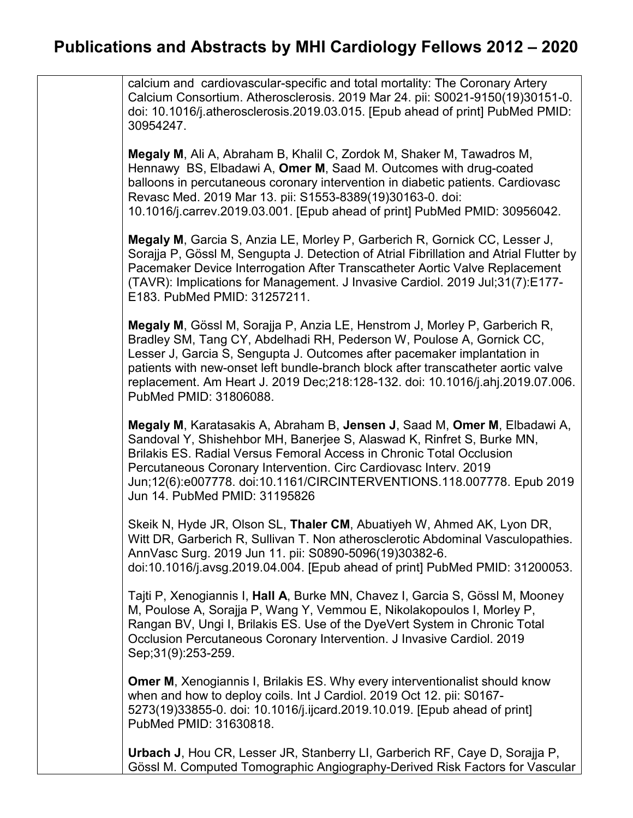calcium and cardiovascular-specific and total mortality: The Coronary Artery Calcium Consortium. Atherosclerosis. 2019 Mar 24. pii: S0021-9150(19)30151-0. doi: 10.1016/j.atherosclerosis.2019.03.015. [Epub ahead of print] PubMed PMID: 30954247.

**Megaly M**, Ali A, Abraham B, Khalil C, Zordok M, Shaker M, Tawadros M, Hennawy BS, Elbadawi A, **Omer M**, Saad M. Outcomes with drug-coated balloons in percutaneous coronary intervention in diabetic patients. Cardiovasc Revasc Med. 2019 Mar 13. pii: S1553-8389(19)30163-0. doi: 10.1016/j.carrev.2019.03.001. [Epub ahead of print] PubMed PMID: 30956042.

**Megaly M**, Garcia S, Anzia LE, Morley P, Garberich R, Gornick CC, Lesser J, Sorajja P, Gössl M, Sengupta J. Detection of Atrial Fibrillation and Atrial Flutter by Pacemaker Device Interrogation After Transcatheter Aortic Valve Replacement (TAVR): Implications for Management. J Invasive Cardiol. 2019 Jul;31(7):E177- E183. PubMed PMID: 31257211.

**Megaly M**, Gössl M, Sorajja P, Anzia LE, Henstrom J, Morley P, Garberich R, Bradley SM, Tang CY, Abdelhadi RH, Pederson W, Poulose A, Gornick CC, Lesser J, Garcia S, Sengupta J. Outcomes after pacemaker implantation in patients with new-onset left bundle-branch block after transcatheter aortic valve replacement. Am Heart J. 2019 Dec;218:128-132. doi: 10.1016/j.ahj.2019.07.006. PubMed PMID: 31806088.

**Megaly M**, Karatasakis A, Abraham B, **Jensen J**, Saad M, **Omer M**, Elbadawi A, Sandoval Y, Shishehbor MH, Banerjee S, Alaswad K, Rinfret S, Burke MN, Brilakis ES. Radial Versus Femoral Access in Chronic Total Occlusion Percutaneous Coronary Intervention. Circ Cardiovasc Interv. 2019 Jun;12(6):e007778. doi:10.1161/CIRCINTERVENTIONS.118.007778. Epub 2019 Jun 14. PubMed PMID: 31195826

Skeik N, Hyde JR, Olson SL, **Thaler CM**, Abuatiyeh W, Ahmed AK, Lyon DR, Witt DR, Garberich R, Sullivan T. Non atherosclerotic Abdominal Vasculopathies. AnnVasc Surg. 2019 Jun 11. pii: S0890-5096(19)30382-6. doi:10.1016/j.avsg.2019.04.004. [Epub ahead of print] PubMed PMID: 31200053.

Tajti P, Xenogiannis I, **Hall A**, Burke MN, Chavez I, Garcia S, Gössl M, Mooney M, Poulose A, Sorajja P, Wang Y, Vemmou E, Nikolakopoulos I, Morley P, Rangan BV, Ungi I, Brilakis ES. Use of the DyeVert System in Chronic Total Occlusion Percutaneous Coronary Intervention. J Invasive Cardiol. 2019 Sep;31(9):253-259.

**Omer M**, Xenogiannis I, Brilakis ES. Why every interventionalist should know when and how to deploy coils. Int J Cardiol. 2019 Oct 12. pii: S0167- 5273(19)33855-0. doi: 10.1016/j.ijcard.2019.10.019. [Epub ahead of print] PubMed PMID: 31630818.

**Urbach J**, Hou CR, Lesser JR, Stanberry LI, Garberich RF, Caye D, Sorajja P, Gössl M. Computed Tomographic Angiography-Derived Risk Factors for Vascular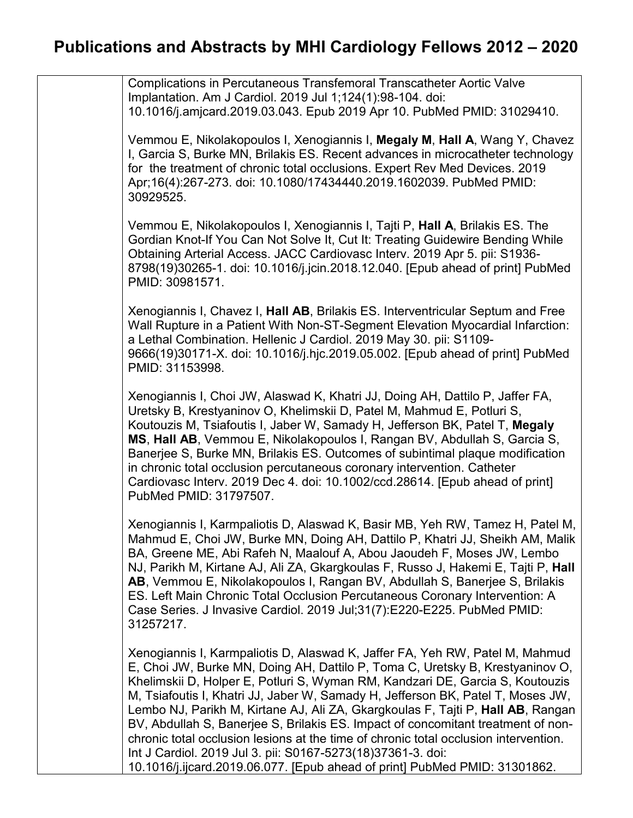| Complications in Percutaneous Transfemoral Transcatheter Aortic Valve<br>Implantation. Am J Cardiol. 2019 Jul 1;124(1):98-104. doi:<br>10.1016/j.amjcard.2019.03.043. Epub 2019 Apr 10. PubMed PMID: 31029410.                                                                                                                                                                                                                                                                                                                                                                                                                                                                                                                                |
|-----------------------------------------------------------------------------------------------------------------------------------------------------------------------------------------------------------------------------------------------------------------------------------------------------------------------------------------------------------------------------------------------------------------------------------------------------------------------------------------------------------------------------------------------------------------------------------------------------------------------------------------------------------------------------------------------------------------------------------------------|
| Vemmou E, Nikolakopoulos I, Xenogiannis I, Megaly M, Hall A, Wang Y, Chavez<br>I, Garcia S, Burke MN, Brilakis ES. Recent advances in microcatheter technology<br>for the treatment of chronic total occlusions. Expert Rev Med Devices. 2019<br>Apr;16(4):267-273. doi: 10.1080/17434440.2019.1602039. PubMed PMID:<br>30929525.                                                                                                                                                                                                                                                                                                                                                                                                             |
| Vemmou E, Nikolakopoulos I, Xenogiannis I, Tajti P, Hall A, Brilakis ES. The<br>Gordian Knot-If You Can Not Solve It, Cut It: Treating Guidewire Bending While<br>Obtaining Arterial Access. JACC Cardiovasc Interv. 2019 Apr 5. pii: S1936-<br>8798(19)30265-1. doi: 10.1016/j.jcin.2018.12.040. [Epub ahead of print] PubMed<br>PMID: 30981571.                                                                                                                                                                                                                                                                                                                                                                                             |
| Xenogiannis I, Chavez I, Hall AB, Brilakis ES. Interventricular Septum and Free<br>Wall Rupture in a Patient With Non-ST-Segment Elevation Myocardial Infarction:<br>a Lethal Combination. Hellenic J Cardiol. 2019 May 30. pii: S1109-<br>9666(19)30171-X. doi: 10.1016/j.hjc.2019.05.002. [Epub ahead of print] PubMed<br>PMID: 31153998.                                                                                                                                                                                                                                                                                                                                                                                                   |
| Xenogiannis I, Choi JW, Alaswad K, Khatri JJ, Doing AH, Dattilo P, Jaffer FA,<br>Uretsky B, Krestyaninov O, Khelimskii D, Patel M, Mahmud E, Potluri S,<br>Koutouzis M, Tsiafoutis I, Jaber W, Samady H, Jefferson BK, Patel T, Megaly<br>MS, Hall AB, Vemmou E, Nikolakopoulos I, Rangan BV, Abdullah S, Garcia S,<br>Banerjee S, Burke MN, Brilakis ES. Outcomes of subintimal plaque modification<br>in chronic total occlusion percutaneous coronary intervention. Catheter<br>Cardiovasc Interv. 2019 Dec 4. doi: 10.1002/ccd.28614. [Epub ahead of print]<br>PubMed PMID: 31797507.                                                                                                                                                     |
| Xenogiannis I, Karmpaliotis D, Alaswad K, Basir MB, Yeh RW, Tamez H, Patel M,<br>Mahmud E, Choi JW, Burke MN, Doing AH, Dattilo P, Khatri JJ, Sheikh AM, Malik<br>BA, Greene ME, Abi Rafeh N, Maalouf A, Abou Jaoudeh F, Moses JW, Lembo<br>NJ, Parikh M, Kirtane AJ, Ali ZA, Gkargkoulas F, Russo J, Hakemi E, Tajti P, Hall<br>AB, Vemmou E, Nikolakopoulos I, Rangan BV, Abdullah S, Banerjee S, Brilakis<br>ES. Left Main Chronic Total Occlusion Percutaneous Coronary Intervention: A<br>Case Series. J Invasive Cardiol. 2019 Jul;31(7):E220-E225. PubMed PMID:<br>31257217.                                                                                                                                                           |
| Xenogiannis I, Karmpaliotis D, Alaswad K, Jaffer FA, Yeh RW, Patel M, Mahmud<br>E, Choi JW, Burke MN, Doing AH, Dattilo P, Toma C, Uretsky B, Krestyaninov O,<br>Khelimskii D, Holper E, Potluri S, Wyman RM, Kandzari DE, Garcia S, Koutouzis<br>M, Tsiafoutis I, Khatri JJ, Jaber W, Samady H, Jefferson BK, Patel T, Moses JW,<br>Lembo NJ, Parikh M, Kirtane AJ, Ali ZA, Gkargkoulas F, Tajti P, Hall AB, Rangan<br>BV, Abdullah S, Banerjee S, Brilakis ES. Impact of concomitant treatment of non-<br>chronic total occlusion lesions at the time of chronic total occlusion intervention.<br>Int J Cardiol. 2019 Jul 3. pii: S0167-5273(18)37361-3. doi:<br>10.1016/j.ijcard.2019.06.077. [Epub ahead of print] PubMed PMID: 31301862. |
|                                                                                                                                                                                                                                                                                                                                                                                                                                                                                                                                                                                                                                                                                                                                               |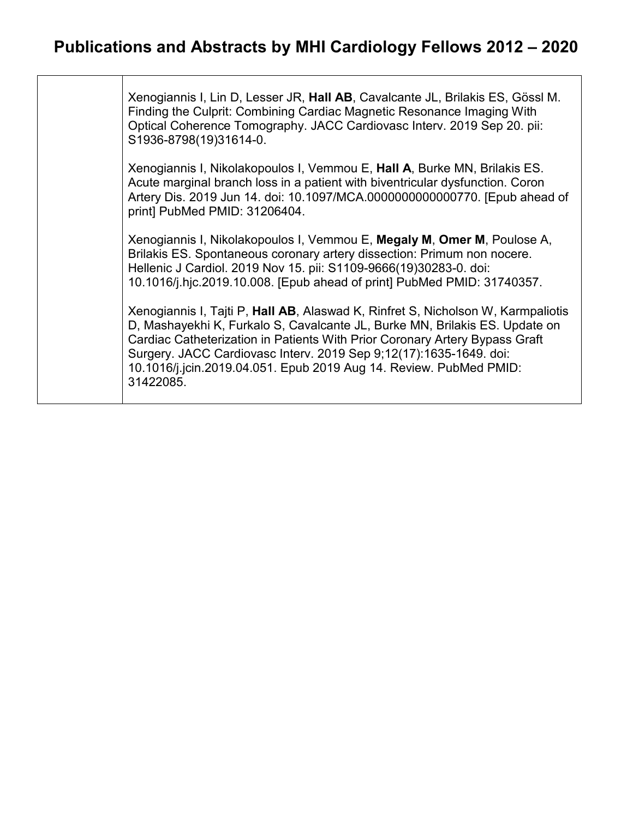Xenogiannis I, Lin D, Lesser JR, **Hall AB**, Cavalcante JL, Brilakis ES, Gössl M. Finding the Culprit: Combining Cardiac Magnetic Resonance Imaging With Optical Coherence Tomography. JACC Cardiovasc Interv. 2019 Sep 20. pii: S1936-8798(19)31614-0.

Xenogiannis I, Nikolakopoulos I, Vemmou E, **Hall A**, Burke MN, Brilakis ES. Acute marginal branch loss in a patient with biventricular dysfunction. Coron Artery Dis. 2019 Jun 14. doi: 10.1097/MCA.0000000000000770. [Epub ahead of print] PubMed PMID: 31206404.

Xenogiannis I, Nikolakopoulos I, Vemmou E, **Megaly M**, **Omer M**, Poulose A, Brilakis ES. Spontaneous coronary artery dissection: Primum non nocere. Hellenic J Cardiol. 2019 Nov 15. pii: S1109-9666(19)30283-0. doi: 10.1016/j.hjc.2019.10.008. [Epub ahead of print] PubMed PMID: 31740357.

Xenogiannis I, Tajti P, **Hall AB**, Alaswad K, Rinfret S, Nicholson W, Karmpaliotis D, Mashayekhi K, Furkalo S, Cavalcante JL, Burke MN, Brilakis ES. Update on Cardiac Catheterization in Patients With Prior Coronary Artery Bypass Graft Surgery. JACC Cardiovasc Interv. 2019 Sep 9;12(17):1635-1649. doi: 10.1016/j.jcin.2019.04.051. Epub 2019 Aug 14. Review. PubMed PMID: 31422085.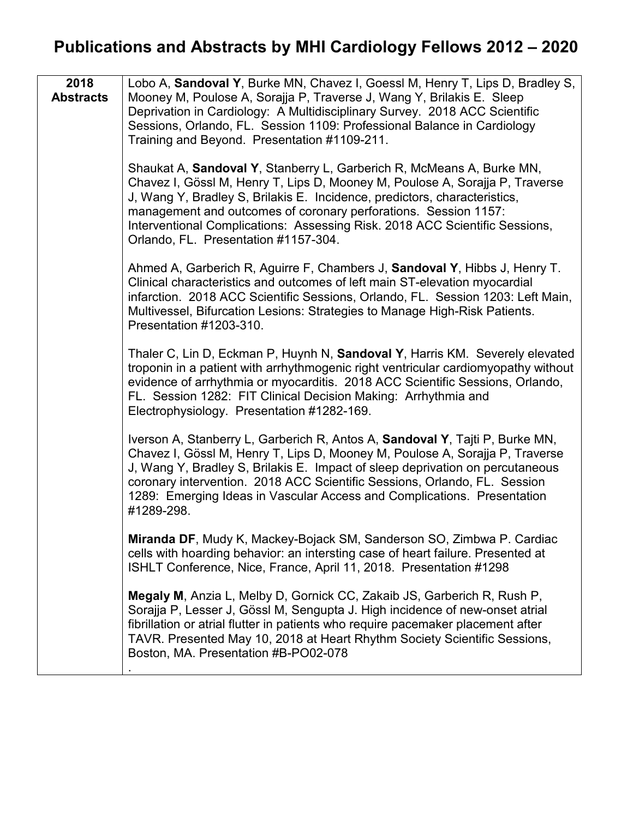| 2018<br><b>Abstracts</b> | Lobo A, Sandoval Y, Burke MN, Chavez I, Goessl M, Henry T, Lips D, Bradley S,<br>Mooney M, Poulose A, Sorajja P, Traverse J, Wang Y, Brilakis E. Sleep<br>Deprivation in Cardiology: A Multidisciplinary Survey. 2018 ACC Scientific<br>Sessions, Orlando, FL. Session 1109: Professional Balance in Cardiology<br>Training and Beyond. Presentation #1109-211.                                                              |
|--------------------------|------------------------------------------------------------------------------------------------------------------------------------------------------------------------------------------------------------------------------------------------------------------------------------------------------------------------------------------------------------------------------------------------------------------------------|
|                          | Shaukat A, Sandoval Y, Stanberry L, Garberich R, McMeans A, Burke MN,<br>Chavez I, Gössl M, Henry T, Lips D, Mooney M, Poulose A, Sorajja P, Traverse<br>J, Wang Y, Bradley S, Brilakis E. Incidence, predictors, characteristics,<br>management and outcomes of coronary perforations. Session 1157:<br>Interventional Complications: Assessing Risk. 2018 ACC Scientific Sessions,<br>Orlando, FL. Presentation #1157-304. |
|                          | Ahmed A, Garberich R, Aguirre F, Chambers J, Sandoval Y, Hibbs J, Henry T.<br>Clinical characteristics and outcomes of left main ST-elevation myocardial<br>infarction. 2018 ACC Scientific Sessions, Orlando, FL. Session 1203: Left Main,<br>Multivessel, Bifurcation Lesions: Strategies to Manage High-Risk Patients.<br>Presentation #1203-310.                                                                         |
|                          | Thaler C, Lin D, Eckman P, Huynh N, Sandoval Y, Harris KM. Severely elevated<br>troponin in a patient with arrhythmogenic right ventricular cardiomyopathy without<br>evidence of arrhythmia or myocarditis. 2018 ACC Scientific Sessions, Orlando,<br>FL. Session 1282: FIT Clinical Decision Making: Arrhythmia and<br>Electrophysiology. Presentation #1282-169.                                                          |
|                          | Iverson A, Stanberry L, Garberich R, Antos A, Sandoval Y, Tajti P, Burke MN,<br>Chavez I, Gössl M, Henry T, Lips D, Mooney M, Poulose A, Sorajja P, Traverse<br>J, Wang Y, Bradley S, Brilakis E. Impact of sleep deprivation on percutaneous<br>coronary intervention. 2018 ACC Scientific Sessions, Orlando, FL. Session<br>1289: Emerging Ideas in Vascular Access and Complications. Presentation<br>#1289-298.          |
|                          | Miranda DF, Mudy K, Mackey-Bojack SM, Sanderson SO, Zimbwa P. Cardiac<br>cells with hoarding behavior: an intersting case of heart failure. Presented at<br>ISHLT Conference, Nice, France, April 11, 2018. Presentation #1298                                                                                                                                                                                               |
|                          | Megaly M, Anzia L, Melby D, Gornick CC, Zakaib JS, Garberich R, Rush P,<br>Sorajja P, Lesser J, Gössl M, Sengupta J. High incidence of new-onset atrial<br>fibrillation or atrial flutter in patients who require pacemaker placement after<br>TAVR. Presented May 10, 2018 at Heart Rhythm Society Scientific Sessions,<br>Boston, MA. Presentation #B-PO02-078                                                             |
|                          |                                                                                                                                                                                                                                                                                                                                                                                                                              |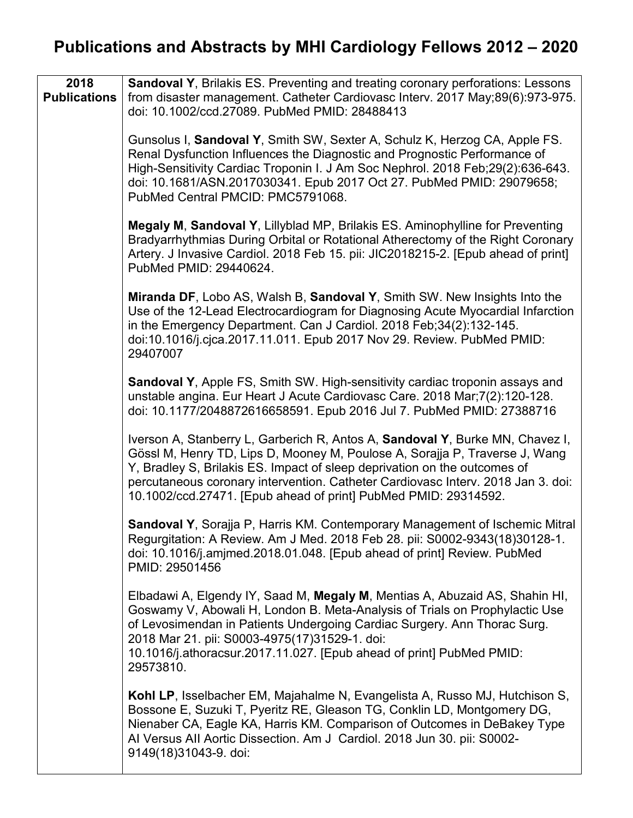| 2018<br><b>Publications</b> | <b>Sandoval Y, Brilakis ES. Preventing and treating coronary perforations: Lessons</b><br>from disaster management. Catheter Cardiovasc Interv. 2017 May;89(6):973-975.<br>doi: 10.1002/ccd.27089. PubMed PMID: 28488413                                                                                                                                                                         |
|-----------------------------|--------------------------------------------------------------------------------------------------------------------------------------------------------------------------------------------------------------------------------------------------------------------------------------------------------------------------------------------------------------------------------------------------|
|                             | Gunsolus I, Sandoval Y, Smith SW, Sexter A, Schulz K, Herzog CA, Apple FS.<br>Renal Dysfunction Influences the Diagnostic and Prognostic Performance of<br>High-Sensitivity Cardiac Troponin I. J Am Soc Nephrol. 2018 Feb;29(2):636-643.<br>doi: 10.1681/ASN.2017030341. Epub 2017 Oct 27. PubMed PMID: 29079658;<br>PubMed Central PMCID: PMC5791068.                                          |
|                             | Megaly M, Sandoval Y, Lillyblad MP, Brilakis ES. Aminophylline for Preventing<br>Bradyarrhythmias During Orbital or Rotational Atherectomy of the Right Coronary<br>Artery. J Invasive Cardiol. 2018 Feb 15. pii: JIC2018215-2. [Epub ahead of print]<br>PubMed PMID: 29440624.                                                                                                                  |
|                             | Miranda DF, Lobo AS, Walsh B, Sandoval Y, Smith SW. New Insights Into the<br>Use of the 12-Lead Electrocardiogram for Diagnosing Acute Myocardial Infarction<br>in the Emergency Department. Can J Cardiol. 2018 Feb; 34(2): 132-145.<br>doi:10.1016/j.cjca.2017.11.011. Epub 2017 Nov 29. Review. PubMed PMID:<br>29407007                                                                      |
|                             | Sandoval Y, Apple FS, Smith SW. High-sensitivity cardiac troponin assays and<br>unstable angina. Eur Heart J Acute Cardiovasc Care. 2018 Mar; 7(2):120-128.<br>doi: 10.1177/2048872616658591. Epub 2016 Jul 7. PubMed PMID: 27388716                                                                                                                                                             |
|                             | Iverson A, Stanberry L, Garberich R, Antos A, Sandoval Y, Burke MN, Chavez I,<br>Gössl M, Henry TD, Lips D, Mooney M, Poulose A, Sorajja P, Traverse J, Wang<br>Y, Bradley S, Brilakis ES. Impact of sleep deprivation on the outcomes of<br>percutaneous coronary intervention. Catheter Cardiovasc Interv. 2018 Jan 3. doi:<br>10.1002/ccd.27471. [Epub ahead of print] PubMed PMID: 29314592. |
|                             | Sandoval Y, Sorajja P, Harris KM. Contemporary Management of Ischemic Mitral<br>Regurgitation: A Review. Am J Med. 2018 Feb 28. pii: S0002-9343(18)30128-1.<br>doi: 10.1016/j.amjmed.2018.01.048. [Epub ahead of print] Review. PubMed<br>PMID: 29501456                                                                                                                                         |
|                             | Elbadawi A, Elgendy IY, Saad M, Megaly M, Mentias A, Abuzaid AS, Shahin HI,<br>Goswamy V, Abowali H, London B. Meta-Analysis of Trials on Prophylactic Use<br>of Levosimendan in Patients Undergoing Cardiac Surgery. Ann Thorac Surg.<br>2018 Mar 21. pii: S0003-4975(17)31529-1. doi:<br>10.1016/j.athoracsur.2017.11.027. [Epub ahead of print] PubMed PMID:<br>29573810.                     |
|                             | Kohl LP, Isselbacher EM, Majahalme N, Evangelista A, Russo MJ, Hutchison S,<br>Bossone E, Suzuki T, Pyeritz RE, Gleason TG, Conklin LD, Montgomery DG,<br>Nienaber CA, Eagle KA, Harris KM. Comparison of Outcomes in DeBakey Type<br>Al Versus All Aortic Dissection. Am J Cardiol. 2018 Jun 30. pii: S0002-<br>9149(18)31043-9. doi:                                                           |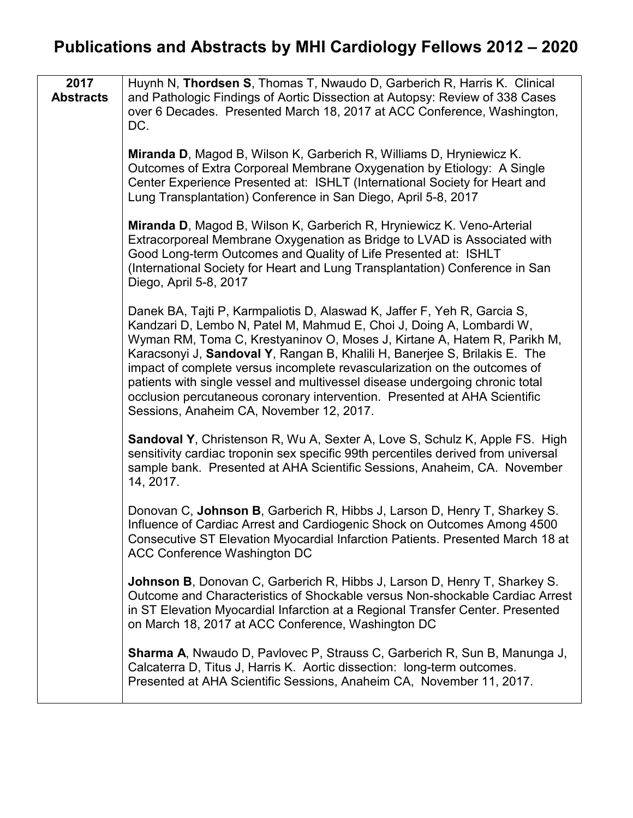| 2017<br><b>Abstracts</b> | Huynh N, Thordsen S, Thomas T, Nwaudo D, Garberich R, Harris K. Clinical<br>and Pathologic Findings of Aortic Dissection at Autopsy: Review of 338 Cases<br>over 6 Decades. Presented March 18, 2017 at ACC Conference, Washington,<br>DC.                                                                                                                                                                                                                                                                                                                                                       |
|--------------------------|--------------------------------------------------------------------------------------------------------------------------------------------------------------------------------------------------------------------------------------------------------------------------------------------------------------------------------------------------------------------------------------------------------------------------------------------------------------------------------------------------------------------------------------------------------------------------------------------------|
|                          | Miranda D, Magod B, Wilson K, Garberich R, Williams D, Hryniewicz K.<br>Outcomes of Extra Corporeal Membrane Oxygenation by Etiology: A Single<br>Center Experience Presented at: ISHLT (International Society for Heart and<br>Lung Transplantation) Conference in San Diego, April 5-8, 2017                                                                                                                                                                                                                                                                                                   |
|                          | Miranda D, Magod B, Wilson K, Garberich R, Hryniewicz K. Veno-Arterial<br>Extracorporeal Membrane Oxygenation as Bridge to LVAD is Associated with<br>Good Long-term Outcomes and Quality of Life Presented at: ISHLT<br>(International Society for Heart and Lung Transplantation) Conference in San<br>Diego, April 5-8, 2017                                                                                                                                                                                                                                                                  |
|                          | Danek BA, Tajti P, Karmpaliotis D, Alaswad K, Jaffer F, Yeh R, Garcia S,<br>Kandzari D, Lembo N, Patel M, Mahmud E, Choi J, Doing A, Lombardi W,<br>Wyman RM, Toma C, Krestyaninov O, Moses J, Kirtane A, Hatem R, Parikh M,<br>Karacsonyi J, Sandoval Y, Rangan B, Khalili H, Banerjee S, Brilakis E. The<br>impact of complete versus incomplete revascularization on the outcomes of<br>patients with single vessel and multivessel disease undergoing chronic total<br>occlusion percutaneous coronary intervention. Presented at AHA Scientific<br>Sessions, Anaheim CA, November 12, 2017. |
|                          | <b>Sandoval Y, Christenson R, Wu A, Sexter A, Love S, Schulz K, Apple FS. High</b><br>sensitivity cardiac troponin sex specific 99th percentiles derived from universal<br>sample bank. Presented at AHA Scientific Sessions, Anaheim, CA. November<br>14, 2017.                                                                                                                                                                                                                                                                                                                                 |
|                          | Donovan C, Johnson B, Garberich R, Hibbs J, Larson D, Henry T, Sharkey S.<br>Influence of Cardiac Arrest and Cardiogenic Shock on Outcomes Among 4500<br>Consecutive ST Elevation Myocardial Infarction Patients. Presented March 18 at<br><b>ACC Conference Washington DC</b>                                                                                                                                                                                                                                                                                                                   |
|                          | <b>Johnson B</b> , Donovan C, Garberich R, Hibbs J, Larson D, Henry T, Sharkey S.<br>Outcome and Characteristics of Shockable versus Non-shockable Cardiac Arrest<br>in ST Elevation Myocardial Infarction at a Regional Transfer Center. Presented<br>on March 18, 2017 at ACC Conference, Washington DC                                                                                                                                                                                                                                                                                        |
|                          | <b>Sharma A, Nwaudo D, Pavlovec P, Strauss C, Garberich R, Sun B, Manunga J,</b><br>Calcaterra D, Titus J, Harris K. Aortic dissection: long-term outcomes.<br>Presented at AHA Scientific Sessions, Anaheim CA, November 11, 2017.                                                                                                                                                                                                                                                                                                                                                              |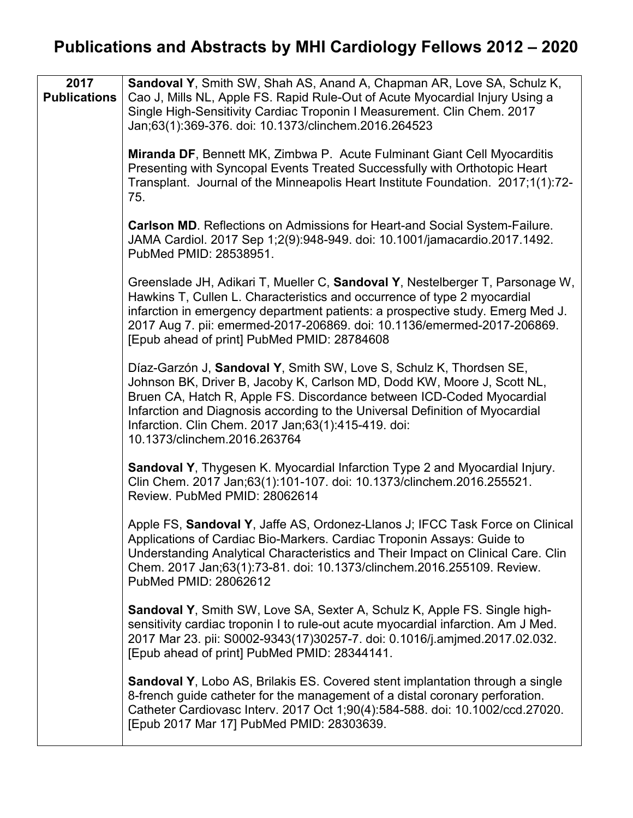| 2017<br><b>Publications</b> | Sandoval Y, Smith SW, Shah AS, Anand A, Chapman AR, Love SA, Schulz K,<br>Cao J, Mills NL, Apple FS. Rapid Rule-Out of Acute Myocardial Injury Using a<br>Single High-Sensitivity Cardiac Troponin I Measurement. Clin Chem. 2017<br>Jan;63(1):369-376. doi: 10.1373/clinchem.2016.264523                                                                                                        |
|-----------------------------|--------------------------------------------------------------------------------------------------------------------------------------------------------------------------------------------------------------------------------------------------------------------------------------------------------------------------------------------------------------------------------------------------|
|                             | Miranda DF, Bennett MK, Zimbwa P. Acute Fulminant Giant Cell Myocarditis<br>Presenting with Syncopal Events Treated Successfully with Orthotopic Heart<br>Transplant. Journal of the Minneapolis Heart Institute Foundation. 2017;1(1):72-<br>75.                                                                                                                                                |
|                             | <b>Carlson MD.</b> Reflections on Admissions for Heart-and Social System-Failure.<br>JAMA Cardiol. 2017 Sep 1;2(9):948-949. doi: 10.1001/jamacardio.2017.1492.<br>PubMed PMID: 28538951.                                                                                                                                                                                                         |
|                             | Greenslade JH, Adikari T, Mueller C, Sandoval Y, Nestelberger T, Parsonage W,<br>Hawkins T, Cullen L. Characteristics and occurrence of type 2 myocardial<br>infarction in emergency department patients: a prospective study. Emerg Med J.<br>2017 Aug 7. pii: emermed-2017-206869. doi: 10.1136/emermed-2017-206869.<br>[Epub ahead of print] PubMed PMID: 28784608                            |
|                             | Díaz-Garzón J, Sandoval Y, Smith SW, Love S, Schulz K, Thordsen SE,<br>Johnson BK, Driver B, Jacoby K, Carlson MD, Dodd KW, Moore J, Scott NL,<br>Bruen CA, Hatch R, Apple FS. Discordance between ICD-Coded Myocardial<br>Infarction and Diagnosis according to the Universal Definition of Myocardial<br>Infarction. Clin Chem. 2017 Jan; 63(1): 415-419. doi:<br>10.1373/clinchem.2016.263764 |
|                             | <b>Sandoval Y, Thygesen K. Myocardial Infarction Type 2 and Myocardial Injury.</b><br>Clin Chem. 2017 Jan;63(1):101-107. doi: 10.1373/clinchem.2016.255521.<br>Review. PubMed PMID: 28062614                                                                                                                                                                                                     |
|                             | Apple FS, Sandoval Y, Jaffe AS, Ordonez-Llanos J; IFCC Task Force on Clinical<br>Applications of Cardiac Bio-Markers. Cardiac Troponin Assays: Guide to<br>Understanding Analytical Characteristics and Their Impact on Clinical Care. Clin<br>Chem. 2017 Jan;63(1):73-81. doi: 10.1373/clinchem.2016.255109. Review.<br>PubMed PMID: 28062612                                                   |
|                             | <b>Sandoval Y, Smith SW, Love SA, Sexter A, Schulz K, Apple FS. Single high-</b><br>sensitivity cardiac troponin I to rule-out acute myocardial infarction. Am J Med.<br>2017 Mar 23. pii: S0002-9343(17)30257-7. doi: 0.1016/j.amjmed.2017.02.032.<br>[Epub ahead of print] PubMed PMID: 28344141.                                                                                              |
|                             | <b>Sandoval Y, Lobo AS, Brilakis ES. Covered stent implantation through a single</b><br>8-french guide catheter for the management of a distal coronary perforation.<br>Catheter Cardiovasc Interv. 2017 Oct 1;90(4):584-588. doi: 10.1002/ccd.27020.<br>[Epub 2017 Mar 17] PubMed PMID: 28303639.                                                                                               |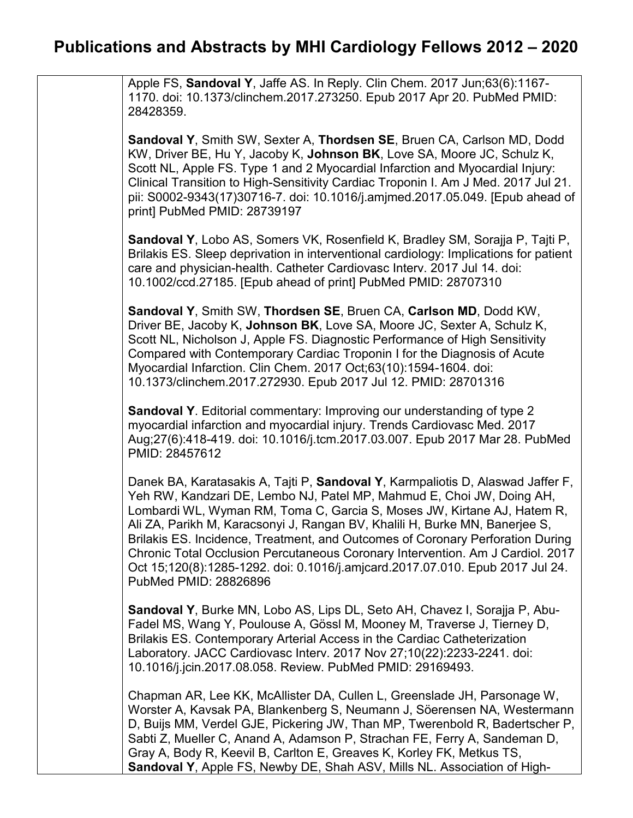Apple FS, **Sandoval Y**, Jaffe AS. In Reply. Clin Chem. 2017 Jun;63(6):1167- 1170. doi: 10.1373/clinchem.2017.273250. Epub 2017 Apr 20. PubMed PMID: 28428359.

**Sandoval Y**, Smith SW, Sexter A, **Thordsen SE**, Bruen CA, Carlson MD, Dodd KW, Driver BE, Hu Y, Jacoby K, **Johnson BK**, Love SA, Moore JC, Schulz K, Scott NL, Apple FS. Type 1 and 2 Myocardial Infarction and Myocardial Injury: Clinical Transition to High-Sensitivity Cardiac Troponin I. Am J Med. 2017 Jul 21. pii: S0002-9343(17)30716-7. doi: 10.1016/j.amjmed.2017.05.049. [Epub ahead of print] PubMed PMID: 28739197

**Sandoval Y**, Lobo AS, Somers VK, Rosenfield K, Bradley SM, Sorajja P, Tajti P, Brilakis ES. Sleep deprivation in interventional cardiology: Implications for patient care and physician-health. Catheter Cardiovasc Interv. 2017 Jul 14. doi: 10.1002/ccd.27185. [Epub ahead of print] PubMed PMID: 28707310

**Sandoval Y**, Smith SW, **Thordsen SE**, Bruen CA, **Carlson MD**, Dodd KW, Driver BE, Jacoby K, **Johnson BK**, Love SA, Moore JC, Sexter A, Schulz K, Scott NL, Nicholson J, Apple FS. Diagnostic Performance of High Sensitivity Compared with Contemporary Cardiac Troponin I for the Diagnosis of Acute Myocardial Infarction. Clin Chem. 2017 Oct;63(10):1594-1604. doi: 10.1373/clinchem.2017.272930. Epub 2017 Jul 12. PMID: 28701316

**Sandoval Y**. Editorial commentary: Improving our understanding of type 2 myocardial infarction and myocardial injury. Trends Cardiovasc Med. 2017 Aug;27(6):418-419. doi: 10.1016/j.tcm.2017.03.007. Epub 2017 Mar 28. PubMed PMID: 28457612

Danek BA, Karatasakis A, Tajti P, **Sandoval Y**, Karmpaliotis D, Alaswad Jaffer F, Yeh RW, Kandzari DE, Lembo NJ, Patel MP, Mahmud E, Choi JW, Doing AH, Lombardi WL, Wyman RM, Toma C, Garcia S, Moses JW, Kirtane AJ, Hatem R, Ali ZA, Parikh M, Karacsonyi J, Rangan BV, Khalili H, Burke MN, Banerjee S, Brilakis ES. Incidence, Treatment, and Outcomes of Coronary Perforation During Chronic Total Occlusion Percutaneous Coronary Intervention. Am J Cardiol. 2017 Oct 15;120(8):1285-1292. doi: 0.1016/j.amjcard.2017.07.010. Epub 2017 Jul 24. PubMed PMID: 28826896

**Sandoval Y**, Burke MN, Lobo AS, Lips DL, Seto AH, Chavez I, Sorajja P, Abu-Fadel MS, Wang Y, Poulouse A, Gössl M, Mooney M, Traverse J, Tierney D, Brilakis ES. Contemporary Arterial Access in the Cardiac Catheterization Laboratory. JACC Cardiovasc Interv. 2017 Nov 27;10(22):2233-2241. doi: 10.1016/j.jcin.2017.08.058. Review. PubMed PMID: 29169493.

Chapman AR, Lee KK, McAllister DA, Cullen L, Greenslade JH, Parsonage W, Worster A, Kavsak PA, Blankenberg S, Neumann J, Söerensen NA, Westermann D, Buijs MM, Verdel GJE, Pickering JW, Than MP, Twerenbold R, Badertscher P, Sabti Z, Mueller C, Anand A, Adamson P, Strachan FE, Ferry A, Sandeman D, Gray A, Body R, Keevil B, Carlton E, Greaves K, Korley FK, Metkus TS, **Sandoval Y**, Apple FS, Newby DE, Shah ASV, Mills NL. Association of High-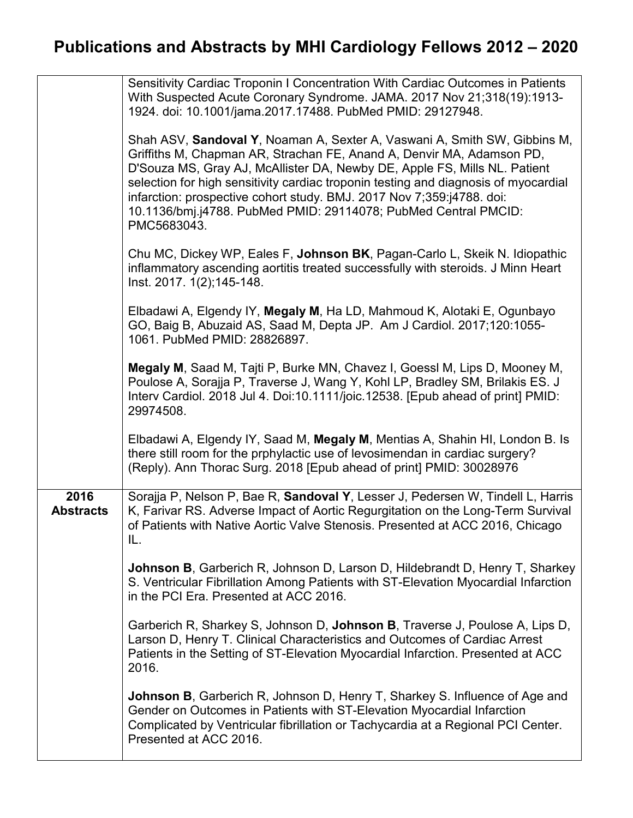|                          | Sensitivity Cardiac Troponin I Concentration With Cardiac Outcomes in Patients<br>With Suspected Acute Coronary Syndrome. JAMA. 2017 Nov 21;318(19):1913-<br>1924. doi: 10.1001/jama.2017.17488. PubMed PMID: 29127948.                                                                                                                                                                                                                                                           |
|--------------------------|-----------------------------------------------------------------------------------------------------------------------------------------------------------------------------------------------------------------------------------------------------------------------------------------------------------------------------------------------------------------------------------------------------------------------------------------------------------------------------------|
|                          | Shah ASV, Sandoval Y, Noaman A, Sexter A, Vaswani A, Smith SW, Gibbins M,<br>Griffiths M, Chapman AR, Strachan FE, Anand A, Denvir MA, Adamson PD,<br>D'Souza MS, Gray AJ, McAllister DA, Newby DE, Apple FS, Mills NL. Patient<br>selection for high sensitivity cardiac troponin testing and diagnosis of myocardial<br>infarction: prospective cohort study. BMJ. 2017 Nov 7;359:j4788. doi:<br>10.1136/bmj.j4788. PubMed PMID: 29114078; PubMed Central PMCID:<br>PMC5683043. |
|                          | Chu MC, Dickey WP, Eales F, Johnson BK, Pagan-Carlo L, Skeik N. Idiopathic<br>inflammatory ascending aortitis treated successfully with steroids. J Minn Heart<br>Inst. 2017. 1(2);145-148.                                                                                                                                                                                                                                                                                       |
|                          | Elbadawi A, Elgendy IY, Megaly M, Ha LD, Mahmoud K, Alotaki E, Ogunbayo<br>GO, Baig B, Abuzaid AS, Saad M, Depta JP. Am J Cardiol. 2017;120:1055-<br>1061. PubMed PMID: 28826897.                                                                                                                                                                                                                                                                                                 |
|                          | Megaly M, Saad M, Tajti P, Burke MN, Chavez I, Goessl M, Lips D, Mooney M,<br>Poulose A, Sorajja P, Traverse J, Wang Y, Kohl LP, Bradley SM, Brilakis ES. J<br>Interv Cardiol. 2018 Jul 4. Doi:10.1111/joic.12538. [Epub ahead of print] PMID:<br>29974508.                                                                                                                                                                                                                       |
|                          | Elbadawi A, Elgendy IY, Saad M, Megaly M, Mentias A, Shahin HI, London B. Is<br>there still room for the prphylactic use of levosimendan in cardiac surgery?<br>(Reply). Ann Thorac Surg. 2018 [Epub ahead of print] PMID: 30028976                                                                                                                                                                                                                                               |
| 2016<br><b>Abstracts</b> | Sorajja P, Nelson P, Bae R, Sandoval Y, Lesser J, Pedersen W, Tindell L, Harris<br>K, Farivar RS. Adverse Impact of Aortic Regurgitation on the Long-Term Survival<br>of Patients with Native Aortic Valve Stenosis. Presented at ACC 2016, Chicago<br>IL.                                                                                                                                                                                                                        |
|                          | <b>Johnson B, Garberich R, Johnson D, Larson D, Hildebrandt D, Henry T, Sharkey</b><br>S. Ventricular Fibrillation Among Patients with ST-Elevation Myocardial Infarction<br>in the PCI Era. Presented at ACC 2016.                                                                                                                                                                                                                                                               |
|                          | Garberich R, Sharkey S, Johnson D, Johnson B, Traverse J, Poulose A, Lips D,<br>Larson D, Henry T. Clinical Characteristics and Outcomes of Cardiac Arrest<br>Patients in the Setting of ST-Elevation Myocardial Infarction. Presented at ACC<br>2016.                                                                                                                                                                                                                            |
|                          | <b>Johnson B</b> , Garberich R, Johnson D, Henry T, Sharkey S. Influence of Age and<br>Gender on Outcomes in Patients with ST-Elevation Myocardial Infarction<br>Complicated by Ventricular fibrillation or Tachycardia at a Regional PCI Center.<br>Presented at ACC 2016.                                                                                                                                                                                                       |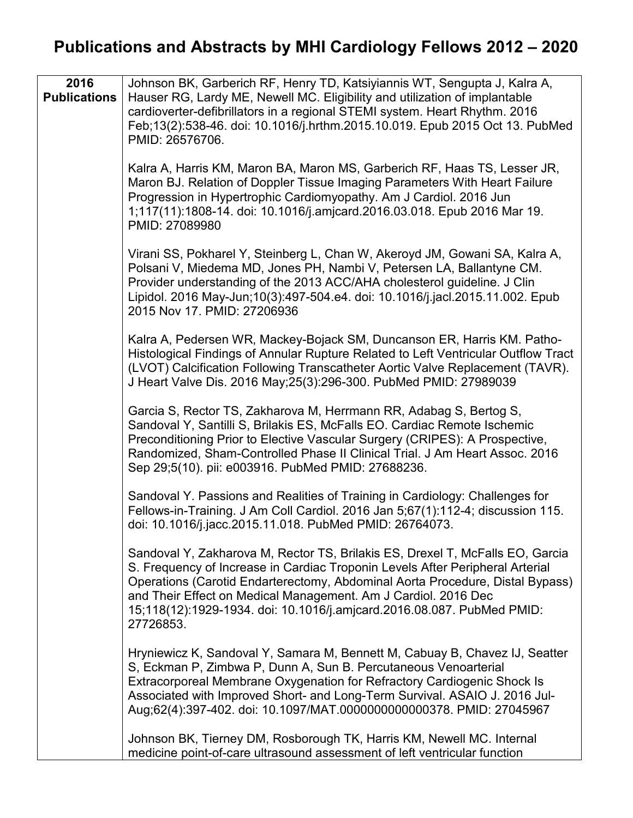| 2016<br><b>Publications</b> | Johnson BK, Garberich RF, Henry TD, Katsiyiannis WT, Sengupta J, Kalra A,<br>Hauser RG, Lardy ME, Newell MC. Eligibility and utilization of implantable<br>cardioverter-defibrillators in a regional STEMI system. Heart Rhythm. 2016<br>Feb;13(2):538-46. doi: 10.1016/j.hrthm.2015.10.019. Epub 2015 Oct 13. PubMed<br>PMID: 26576706.                                                                 |
|-----------------------------|----------------------------------------------------------------------------------------------------------------------------------------------------------------------------------------------------------------------------------------------------------------------------------------------------------------------------------------------------------------------------------------------------------|
|                             | Kalra A, Harris KM, Maron BA, Maron MS, Garberich RF, Haas TS, Lesser JR,<br>Maron BJ. Relation of Doppler Tissue Imaging Parameters With Heart Failure<br>Progression in Hypertrophic Cardiomyopathy. Am J Cardiol. 2016 Jun<br>1;117(11):1808-14. doi: 10.1016/j.amjcard.2016.03.018. Epub 2016 Mar 19.<br>PMID: 27089980                                                                              |
|                             | Virani SS, Pokharel Y, Steinberg L, Chan W, Akeroyd JM, Gowani SA, Kalra A,<br>Polsani V, Miedema MD, Jones PH, Nambi V, Petersen LA, Ballantyne CM.<br>Provider understanding of the 2013 ACC/AHA cholesterol guideline. J Clin<br>Lipidol. 2016 May-Jun;10(3):497-504.e4. doi: 10.1016/j.jacl.2015.11.002. Epub<br>2015 Nov 17, PMID: 27206936                                                         |
|                             | Kalra A, Pedersen WR, Mackey-Bojack SM, Duncanson ER, Harris KM. Patho-<br>Histological Findings of Annular Rupture Related to Left Ventricular Outflow Tract<br>(LVOT) Calcification Following Transcatheter Aortic Valve Replacement (TAVR).<br>J Heart Valve Dis. 2016 May; 25(3): 296-300. PubMed PMID: 27989039                                                                                     |
|                             | Garcia S, Rector TS, Zakharova M, Herrmann RR, Adabag S, Bertog S,<br>Sandoval Y, Santilli S, Brilakis ES, McFalls EO. Cardiac Remote Ischemic<br>Preconditioning Prior to Elective Vascular Surgery (CRIPES): A Prospective,<br>Randomized, Sham-Controlled Phase II Clinical Trial. J Am Heart Assoc. 2016<br>Sep 29;5(10). pii: e003916. PubMed PMID: 27688236.                                       |
|                             | Sandoval Y. Passions and Realities of Training in Cardiology: Challenges for<br>Fellows-in-Training. J Am Coll Cardiol. 2016 Jan 5;67(1):112-4; discussion 115.<br>doi: 10.1016/j.jacc.2015.11.018. PubMed PMID: 26764073.                                                                                                                                                                               |
|                             | Sandoval Y, Zakharova M, Rector TS, Brilakis ES, Drexel T, McFalls EO, Garcia<br>S. Frequency of Increase in Cardiac Troponin Levels After Peripheral Arterial<br>Operations (Carotid Endarterectomy, Abdominal Aorta Procedure, Distal Bypass)<br>and Their Effect on Medical Management. Am J Cardiol. 2016 Dec<br>15;118(12):1929-1934. doi: 10.1016/j.amjcard.2016.08.087. PubMed PMID:<br>27726853. |
|                             | Hryniewicz K, Sandoval Y, Samara M, Bennett M, Cabuay B, Chavez IJ, Seatter<br>S, Eckman P, Zimbwa P, Dunn A, Sun B. Percutaneous Venoarterial<br>Extracorporeal Membrane Oxygenation for Refractory Cardiogenic Shock Is<br>Associated with Improved Short- and Long-Term Survival. ASAIO J. 2016 Jul-<br>Aug;62(4):397-402. doi: 10.1097/MAT.0000000000000378. PMID: 27045967                          |
|                             | Johnson BK, Tierney DM, Rosborough TK, Harris KM, Newell MC. Internal<br>medicine point-of-care ultrasound assessment of left ventricular function                                                                                                                                                                                                                                                       |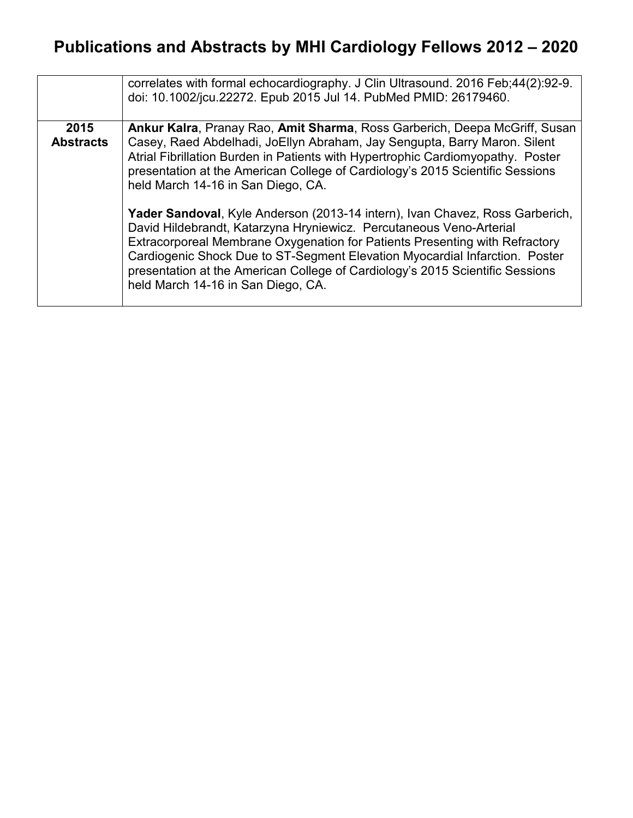|                  | correlates with formal echocardiography. J Clin Ultrasound. 2016 Feb; 44(2): 92-9.<br>doi: 10.1002/jcu.22272. Epub 2015 Jul 14. PubMed PMID: 26179460.                                                                                                                                                                                                                                                                                   |
|------------------|------------------------------------------------------------------------------------------------------------------------------------------------------------------------------------------------------------------------------------------------------------------------------------------------------------------------------------------------------------------------------------------------------------------------------------------|
| 2015             | Ankur Kalra, Pranay Rao, Amit Sharma, Ross Garberich, Deepa McGriff, Susan                                                                                                                                                                                                                                                                                                                                                               |
| <b>Abstracts</b> | Casey, Raed Abdelhadi, JoEllyn Abraham, Jay Sengupta, Barry Maron. Silent<br>Atrial Fibrillation Burden in Patients with Hypertrophic Cardiomyopathy. Poster<br>presentation at the American College of Cardiology's 2015 Scientific Sessions<br>held March 14-16 in San Diego, CA.                                                                                                                                                      |
|                  | Yader Sandoval, Kyle Anderson (2013-14 intern), Ivan Chavez, Ross Garberich,<br>David Hildebrandt, Katarzyna Hryniewicz. Percutaneous Veno-Arterial<br>Extracorporeal Membrane Oxygenation for Patients Presenting with Refractory<br>Cardiogenic Shock Due to ST-Segment Elevation Myocardial Infarction. Poster<br>presentation at the American College of Cardiology's 2015 Scientific Sessions<br>held March 14-16 in San Diego, CA. |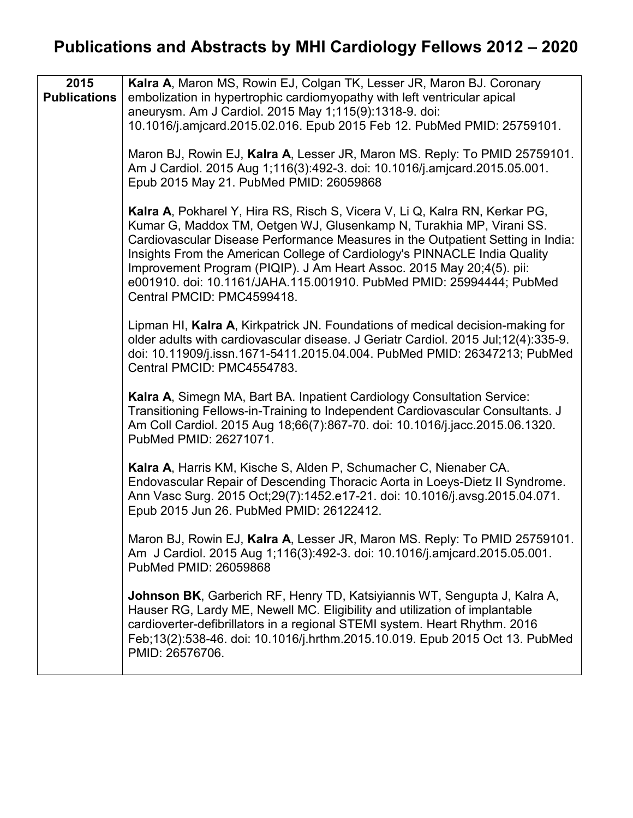| 2015                | Kalra A, Maron MS, Rowin EJ, Colgan TK, Lesser JR, Maron BJ. Coronary                                                                                                                                                                                                                                                                                                                                                                                                                              |
|---------------------|----------------------------------------------------------------------------------------------------------------------------------------------------------------------------------------------------------------------------------------------------------------------------------------------------------------------------------------------------------------------------------------------------------------------------------------------------------------------------------------------------|
| <b>Publications</b> | embolization in hypertrophic cardiomyopathy with left ventricular apical                                                                                                                                                                                                                                                                                                                                                                                                                           |
|                     | aneurysm. Am J Cardiol. 2015 May 1;115(9):1318-9. doi:                                                                                                                                                                                                                                                                                                                                                                                                                                             |
|                     | 10.1016/j.amjcard.2015.02.016. Epub 2015 Feb 12. PubMed PMID: 25759101.                                                                                                                                                                                                                                                                                                                                                                                                                            |
|                     |                                                                                                                                                                                                                                                                                                                                                                                                                                                                                                    |
|                     | Maron BJ, Rowin EJ, Kalra A, Lesser JR, Maron MS. Reply: To PMID 25759101.<br>Am J Cardiol. 2015 Aug 1;116(3):492-3. doi: 10.1016/j.amjcard.2015.05.001.<br>Epub 2015 May 21. PubMed PMID: 26059868                                                                                                                                                                                                                                                                                                |
|                     | Kalra A, Pokharel Y, Hira RS, Risch S, Vicera V, Li Q, Kalra RN, Kerkar PG,<br>Kumar G, Maddox TM, Oetgen WJ, Glusenkamp N, Turakhia MP, Virani SS.<br>Cardiovascular Disease Performance Measures in the Outpatient Setting in India:<br>Insights From the American College of Cardiology's PINNACLE India Quality<br>Improvement Program (PIQIP). J Am Heart Assoc. 2015 May 20;4(5). pii:<br>e001910. doi: 10.1161/JAHA.115.001910. PubMed PMID: 25994444; PubMed<br>Central PMCID: PMC4599418. |
|                     | Lipman HI, Kalra A, Kirkpatrick JN. Foundations of medical decision-making for<br>older adults with cardiovascular disease. J Geriatr Cardiol. 2015 Jul;12(4):335-9.<br>doi: 10.11909/j.issn.1671-5411.2015.04.004. PubMed PMID: 26347213; PubMed<br>Central PMCID: PMC4554783.                                                                                                                                                                                                                    |
|                     | Kalra A, Simegn MA, Bart BA. Inpatient Cardiology Consultation Service:<br>Transitioning Fellows-in-Training to Independent Cardiovascular Consultants. J<br>Am Coll Cardiol. 2015 Aug 18;66(7):867-70. doi: 10.1016/j.jacc.2015.06.1320.<br>PubMed PMID: 26271071.                                                                                                                                                                                                                                |
|                     | Kalra A, Harris KM, Kische S, Alden P, Schumacher C, Nienaber CA.<br>Endovascular Repair of Descending Thoracic Aorta in Loeys-Dietz II Syndrome.<br>Ann Vasc Surg. 2015 Oct; 29(7): 1452. e17-21. doi: 10.1016/j. avsg. 2015.04.071.<br>Epub 2015 Jun 26. PubMed PMID: 26122412.                                                                                                                                                                                                                  |
|                     | Maron BJ, Rowin EJ, Kalra A, Lesser JR, Maron MS. Reply: To PMID 25759101.<br>Am J Cardiol. 2015 Aug 1;116(3):492-3. doi: 10.1016/j.amjcard.2015.05.001.<br>PubMed PMID: 26059868                                                                                                                                                                                                                                                                                                                  |
|                     | <b>Johnson BK, Garberich RF, Henry TD, Katsiyiannis WT, Sengupta J, Kalra A,</b><br>Hauser RG, Lardy ME, Newell MC. Eligibility and utilization of implantable<br>cardioverter-defibrillators in a regional STEMI system. Heart Rhythm. 2016<br>Feb;13(2):538-46. doi: 10.1016/j.hrthm.2015.10.019. Epub 2015 Oct 13. PubMed<br>PMID: 26576706.                                                                                                                                                    |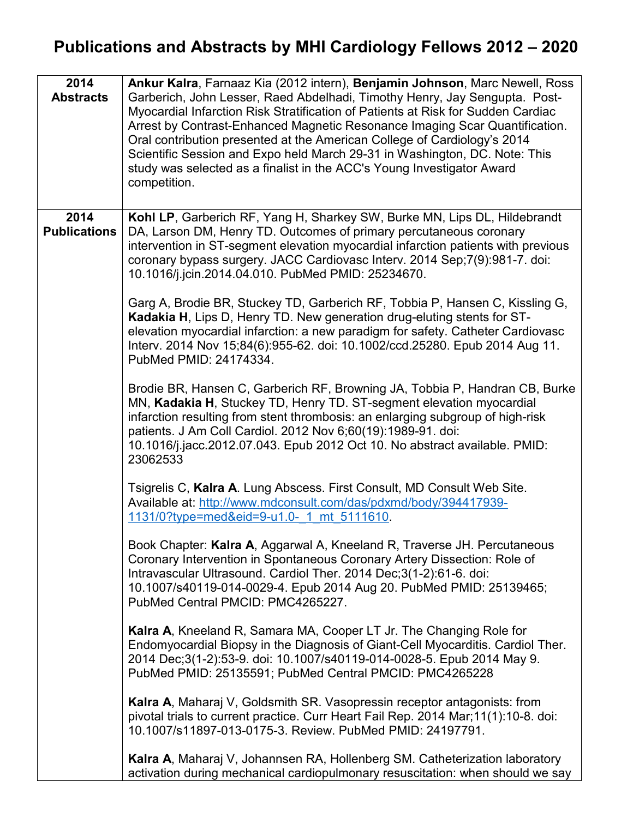| 2014<br><b>Abstracts</b>    | Ankur Kalra, Farnaaz Kia (2012 intern), Benjamin Johnson, Marc Newell, Ross<br>Garberich, John Lesser, Raed Abdelhadi, Timothy Henry, Jay Sengupta. Post-<br>Myocardial Infarction Risk Stratification of Patients at Risk for Sudden Cardiac<br>Arrest by Contrast-Enhanced Magnetic Resonance Imaging Scar Quantification.<br>Oral contribution presented at the American College of Cardiology's 2014<br>Scientific Session and Expo held March 29-31 in Washington, DC. Note: This<br>study was selected as a finalist in the ACC's Young Investigator Award<br>competition.                                                                                                                                                                                                                                                                                                                                                                                                                                                                                                                                                                                                                                                                                                                                                                                                                                                                                                                                                                                                                                                                                                                                                                                                                                                                                                                                                                                                |
|-----------------------------|---------------------------------------------------------------------------------------------------------------------------------------------------------------------------------------------------------------------------------------------------------------------------------------------------------------------------------------------------------------------------------------------------------------------------------------------------------------------------------------------------------------------------------------------------------------------------------------------------------------------------------------------------------------------------------------------------------------------------------------------------------------------------------------------------------------------------------------------------------------------------------------------------------------------------------------------------------------------------------------------------------------------------------------------------------------------------------------------------------------------------------------------------------------------------------------------------------------------------------------------------------------------------------------------------------------------------------------------------------------------------------------------------------------------------------------------------------------------------------------------------------------------------------------------------------------------------------------------------------------------------------------------------------------------------------------------------------------------------------------------------------------------------------------------------------------------------------------------------------------------------------------------------------------------------------------------------------------------------------|
| 2014<br><b>Publications</b> | Kohl LP, Garberich RF, Yang H, Sharkey SW, Burke MN, Lips DL, Hildebrandt<br>DA, Larson DM, Henry TD. Outcomes of primary percutaneous coronary<br>intervention in ST-segment elevation myocardial infarction patients with previous<br>coronary bypass surgery. JACC Cardiovasc Interv. 2014 Sep; 7(9): 981-7. doi:<br>10.1016/j.jcin.2014.04.010. PubMed PMID: 25234670.<br>Garg A, Brodie BR, Stuckey TD, Garberich RF, Tobbia P, Hansen C, Kissling G,<br>Kadakia H, Lips D, Henry TD. New generation drug-eluting stents for ST-<br>elevation myocardial infarction: a new paradigm for safety. Catheter Cardiovasc<br>Interv. 2014 Nov 15;84(6):955-62. doi: 10.1002/ccd.25280. Epub 2014 Aug 11.<br>PubMed PMID: 24174334.<br>Brodie BR, Hansen C, Garberich RF, Browning JA, Tobbia P, Handran CB, Burke<br>MN, Kadakia H, Stuckey TD, Henry TD. ST-segment elevation myocardial<br>infarction resulting from stent thrombosis: an enlarging subgroup of high-risk<br>patients. J Am Coll Cardiol. 2012 Nov 6;60(19):1989-91. doi:<br>10.1016/j.jacc.2012.07.043. Epub 2012 Oct 10. No abstract available. PMID:<br>23062533<br>Tsigrelis C, Kalra A. Lung Abscess. First Consult, MD Consult Web Site.<br>Available at: http://www.mdconsult.com/das/pdxmd/body/394417939-<br>1131/0?type=med&eid=9-u1.0- 1 mt 5111610<br>Book Chapter: Kalra A, Aggarwal A, Kneeland R, Traverse JH. Percutaneous<br>Coronary Intervention in Spontaneous Coronary Artery Dissection: Role of<br>Intravascular Ultrasound. Cardiol Ther. 2014 Dec;3(1-2):61-6. doi:<br>10.1007/s40119-014-0029-4. Epub 2014 Aug 20. PubMed PMID: 25139465;<br>PubMed Central PMCID: PMC4265227.<br><b>Kalra A, Kneeland R, Samara MA, Cooper LT Jr. The Changing Role for</b><br>Endomyocardial Biopsy in the Diagnosis of Giant-Cell Myocarditis. Cardiol Ther.<br>2014 Dec;3(1-2):53-9. doi: 10.1007/s40119-014-0028-5. Epub 2014 May 9.<br>PubMed PMID: 25135591; PubMed Central PMCID: PMC4265228 |
|                             | Kalra A, Maharaj V, Goldsmith SR. Vasopressin receptor antagonists: from<br>pivotal trials to current practice. Curr Heart Fail Rep. 2014 Mar;11(1):10-8. doi:<br>10.1007/s11897-013-0175-3. Review. PubMed PMID: 24197791.<br>Kalra A, Maharaj V, Johannsen RA, Hollenberg SM. Catheterization laboratory<br>activation during mechanical cardiopulmonary resuscitation: when should we say                                                                                                                                                                                                                                                                                                                                                                                                                                                                                                                                                                                                                                                                                                                                                                                                                                                                                                                                                                                                                                                                                                                                                                                                                                                                                                                                                                                                                                                                                                                                                                                    |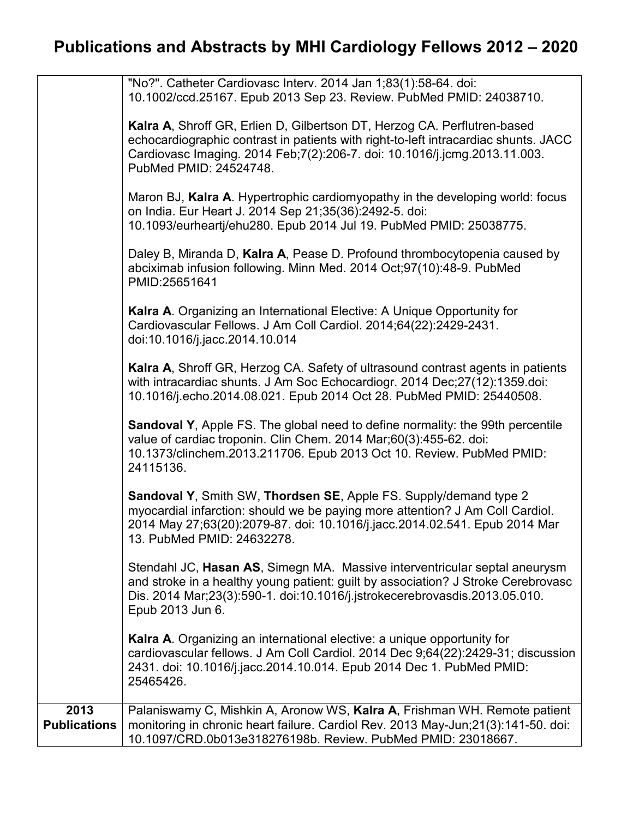|                             | "No?". Catheter Cardiovasc Interv. 2014 Jan 1;83(1):58-64. doi:<br>10.1002/ccd.25167. Epub 2013 Sep 23. Review. PubMed PMID: 24038710.                                                                                                                                    |
|-----------------------------|---------------------------------------------------------------------------------------------------------------------------------------------------------------------------------------------------------------------------------------------------------------------------|
|                             | Kalra A, Shroff GR, Erlien D, Gilbertson DT, Herzog CA. Perflutren-based<br>echocardiographic contrast in patients with right-to-left intracardiac shunts. JACC<br>Cardiovasc Imaging. 2014 Feb; 7(2): 206-7. doi: 10.1016/j.jcmg. 2013.11.003.<br>PubMed PMID: 24524748. |
|                             | Maron BJ, Kalra A. Hypertrophic cardiomyopathy in the developing world: focus<br>on India. Eur Heart J. 2014 Sep 21;35(36):2492-5. doi:<br>10.1093/eurheartj/ehu280. Epub 2014 Jul 19. PubMed PMID: 25038775.                                                             |
|                             | Daley B, Miranda D, Kalra A, Pease D. Profound thrombocytopenia caused by<br>abciximab infusion following. Minn Med. 2014 Oct;97(10):48-9. PubMed<br>PMID:25651641                                                                                                        |
|                             | Kalra A. Organizing an International Elective: A Unique Opportunity for<br>Cardiovascular Fellows. J Am Coll Cardiol. 2014;64(22):2429-2431.<br>doi:10.1016/j.jacc.2014.10.014                                                                                            |
|                             | Kalra A, Shroff GR, Herzog CA. Safety of ultrasound contrast agents in patients<br>with intracardiac shunts. J Am Soc Echocardiogr. 2014 Dec; 27(12): 1359.doi:<br>10.1016/j.echo.2014.08.021. Epub 2014 Oct 28. PubMed PMID: 25440508.                                   |
|                             | <b>Sandoval Y, Apple FS. The global need to define normality: the 99th percentile</b><br>value of cardiac troponin. Clin Chem. 2014 Mar;60(3):455-62. doi:<br>10.1373/clinchem.2013.211706. Epub 2013 Oct 10. Review. PubMed PMID:<br>24115136.                           |
|                             | Sandoval Y, Smith SW, Thordsen SE, Apple FS. Supply/demand type 2<br>myocardial infarction: should we be paying more attention? J Am Coll Cardiol.<br>2014 May 27;63(20):2079-87. doi: 10.1016/j.jacc.2014.02.541. Epub 2014 Mar<br>13. PubMed PMID: 24632278.            |
|                             | Stendahl JC, Hasan AS, Simegn MA. Massive interventricular septal aneurysm<br>and stroke in a healthy young patient: guilt by association? J Stroke Cerebrovasc<br>Dis. 2014 Mar; 23(3): 590-1. doi: 10.1016/j.jstrokecerebrovasdis. 2013.05.010.<br>Epub 2013 Jun 6.     |
|                             | Kalra A. Organizing an international elective: a unique opportunity for<br>cardiovascular fellows. J Am Coll Cardiol. 2014 Dec 9;64(22):2429-31; discussion<br>2431. doi: 10.1016/j.jacc.2014.10.014. Epub 2014 Dec 1. PubMed PMID:<br>25465426.                          |
| 2013<br><b>Publications</b> | Palaniswamy C, Mishkin A, Aronow WS, Kalra A, Frishman WH. Remote patient<br>monitoring in chronic heart failure. Cardiol Rev. 2013 May-Jun;21(3):141-50. doi:<br>10.1097/CRD.0b013e318276198b. Review. PubMed PMID: 23018667.                                            |